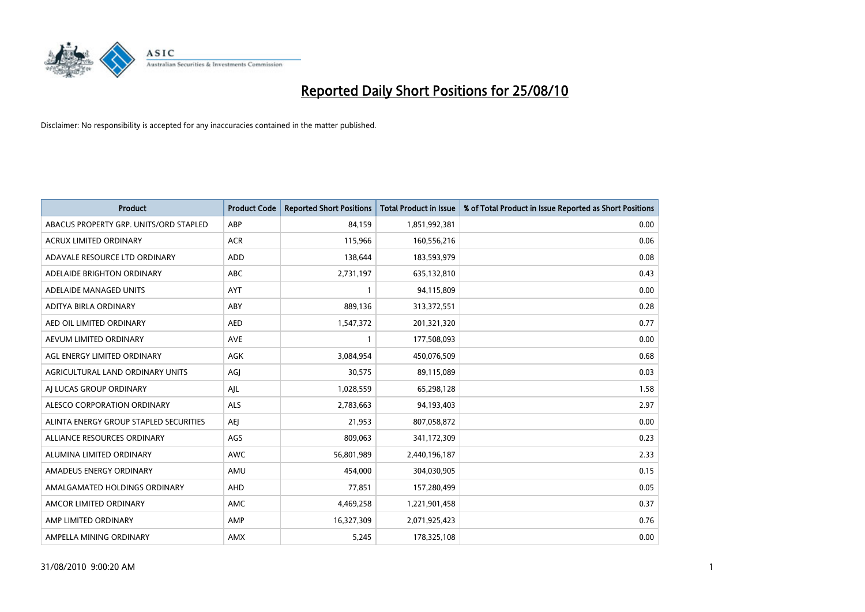

| <b>Product</b>                         | <b>Product Code</b> | <b>Reported Short Positions</b> | <b>Total Product in Issue</b> | % of Total Product in Issue Reported as Short Positions |
|----------------------------------------|---------------------|---------------------------------|-------------------------------|---------------------------------------------------------|
| ABACUS PROPERTY GRP. UNITS/ORD STAPLED | ABP                 | 84,159                          | 1,851,992,381                 | 0.00                                                    |
| ACRUX LIMITED ORDINARY                 | <b>ACR</b>          | 115,966                         | 160,556,216                   | 0.06                                                    |
| ADAVALE RESOURCE LTD ORDINARY          | ADD                 | 138,644                         | 183,593,979                   | 0.08                                                    |
| ADELAIDE BRIGHTON ORDINARY             | <b>ABC</b>          | 2,731,197                       | 635,132,810                   | 0.43                                                    |
| ADELAIDE MANAGED UNITS                 | <b>AYT</b>          |                                 | 94,115,809                    | 0.00                                                    |
| ADITYA BIRLA ORDINARY                  | ABY                 | 889,136                         | 313,372,551                   | 0.28                                                    |
| AED OIL LIMITED ORDINARY               | <b>AED</b>          | 1,547,372                       | 201,321,320                   | 0.77                                                    |
| AEVUM LIMITED ORDINARY                 | <b>AVE</b>          |                                 | 177,508,093                   | 0.00                                                    |
| AGL ENERGY LIMITED ORDINARY            | AGK                 | 3,084,954                       | 450,076,509                   | 0.68                                                    |
| AGRICULTURAL LAND ORDINARY UNITS       | AGJ                 | 30,575                          | 89,115,089                    | 0.03                                                    |
| AJ LUCAS GROUP ORDINARY                | AJL                 | 1,028,559                       | 65,298,128                    | 1.58                                                    |
| ALESCO CORPORATION ORDINARY            | <b>ALS</b>          | 2,783,663                       | 94,193,403                    | 2.97                                                    |
| ALINTA ENERGY GROUP STAPLED SECURITIES | <b>AEJ</b>          | 21,953                          | 807,058,872                   | 0.00                                                    |
| ALLIANCE RESOURCES ORDINARY            | AGS                 | 809,063                         | 341,172,309                   | 0.23                                                    |
| ALUMINA LIMITED ORDINARY               | <b>AWC</b>          | 56,801,989                      | 2,440,196,187                 | 2.33                                                    |
| AMADEUS ENERGY ORDINARY                | AMU                 | 454,000                         | 304,030,905                   | 0.15                                                    |
| AMALGAMATED HOLDINGS ORDINARY          | AHD                 | 77,851                          | 157,280,499                   | 0.05                                                    |
| AMCOR LIMITED ORDINARY                 | AMC                 | 4,469,258                       | 1,221,901,458                 | 0.37                                                    |
| AMP LIMITED ORDINARY                   | AMP                 | 16,327,309                      | 2,071,925,423                 | 0.76                                                    |
| AMPELLA MINING ORDINARY                | <b>AMX</b>          | 5,245                           | 178,325,108                   | 0.00                                                    |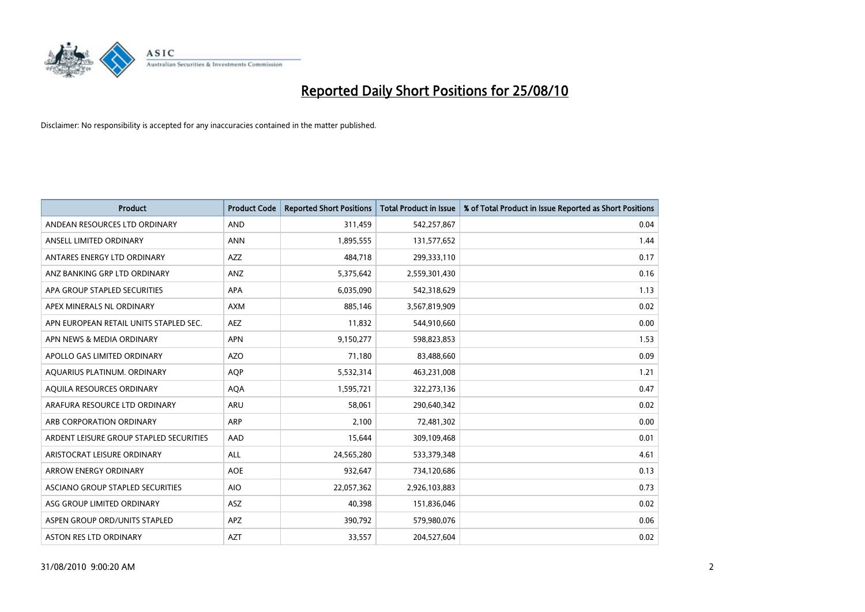

| <b>Product</b>                          | <b>Product Code</b> | <b>Reported Short Positions</b> | <b>Total Product in Issue</b> | % of Total Product in Issue Reported as Short Positions |
|-----------------------------------------|---------------------|---------------------------------|-------------------------------|---------------------------------------------------------|
| ANDEAN RESOURCES LTD ORDINARY           | <b>AND</b>          | 311,459                         | 542,257,867                   | 0.04                                                    |
| ANSELL LIMITED ORDINARY                 | <b>ANN</b>          | 1,895,555                       | 131,577,652                   | 1.44                                                    |
| ANTARES ENERGY LTD ORDINARY             | <b>AZZ</b>          | 484,718                         | 299,333,110                   | 0.17                                                    |
| ANZ BANKING GRP LTD ORDINARY            | ANZ                 | 5,375,642                       | 2,559,301,430                 | 0.16                                                    |
| APA GROUP STAPLED SECURITIES            | <b>APA</b>          | 6,035,090                       | 542,318,629                   | 1.13                                                    |
| APEX MINERALS NL ORDINARY               | <b>AXM</b>          | 885,146                         | 3,567,819,909                 | 0.02                                                    |
| APN EUROPEAN RETAIL UNITS STAPLED SEC.  | <b>AEZ</b>          | 11,832                          | 544,910,660                   | 0.00                                                    |
| APN NEWS & MEDIA ORDINARY               | <b>APN</b>          | 9,150,277                       | 598,823,853                   | 1.53                                                    |
| APOLLO GAS LIMITED ORDINARY             | <b>AZO</b>          | 71,180                          | 83,488,660                    | 0.09                                                    |
| AQUARIUS PLATINUM. ORDINARY             | <b>AOP</b>          | 5,532,314                       | 463,231,008                   | 1.21                                                    |
| AQUILA RESOURCES ORDINARY               | <b>AQA</b>          | 1,595,721                       | 322,273,136                   | 0.47                                                    |
| ARAFURA RESOURCE LTD ORDINARY           | <b>ARU</b>          | 58,061                          | 290,640,342                   | 0.02                                                    |
| ARB CORPORATION ORDINARY                | <b>ARP</b>          | 2.100                           | 72,481,302                    | 0.00                                                    |
| ARDENT LEISURE GROUP STAPLED SECURITIES | AAD                 | 15,644                          | 309,109,468                   | 0.01                                                    |
| ARISTOCRAT LEISURE ORDINARY             | <b>ALL</b>          | 24,565,280                      | 533,379,348                   | 4.61                                                    |
| ARROW ENERGY ORDINARY                   | <b>AOE</b>          | 932,647                         | 734,120,686                   | 0.13                                                    |
| ASCIANO GROUP STAPLED SECURITIES        | <b>AIO</b>          | 22,057,362                      | 2,926,103,883                 | 0.73                                                    |
| ASG GROUP LIMITED ORDINARY              | <b>ASZ</b>          | 40,398                          | 151,836,046                   | 0.02                                                    |
| ASPEN GROUP ORD/UNITS STAPLED           | <b>APZ</b>          | 390,792                         | 579,980,076                   | 0.06                                                    |
| ASTON RES LTD ORDINARY                  | <b>AZT</b>          | 33,557                          | 204,527,604                   | 0.02                                                    |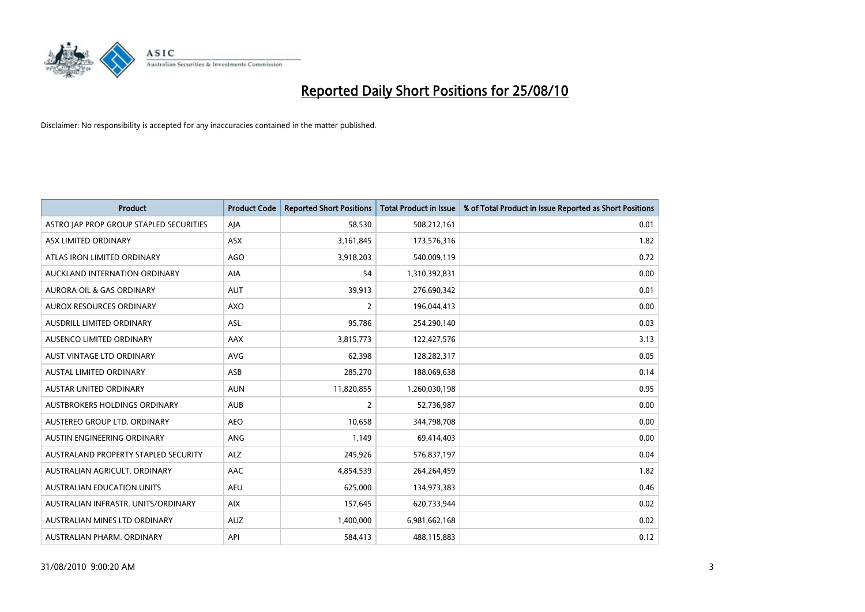

| <b>Product</b>                          | <b>Product Code</b> | <b>Reported Short Positions</b> | <b>Total Product in Issue</b> | % of Total Product in Issue Reported as Short Positions |
|-----------------------------------------|---------------------|---------------------------------|-------------------------------|---------------------------------------------------------|
| ASTRO JAP PROP GROUP STAPLED SECURITIES | AJA                 | 58,530                          | 508,212,161                   | 0.01                                                    |
| ASX LIMITED ORDINARY                    | <b>ASX</b>          | 3,161,845                       | 173,576,316                   | 1.82                                                    |
| ATLAS IRON LIMITED ORDINARY             | <b>AGO</b>          | 3,918,203                       | 540,009,119                   | 0.72                                                    |
| AUCKLAND INTERNATION ORDINARY           | AIA                 | 54                              | 1,310,392,831                 | 0.00                                                    |
| <b>AURORA OIL &amp; GAS ORDINARY</b>    | <b>AUT</b>          | 39,913                          | 276,690,342                   | 0.01                                                    |
| <b>AUROX RESOURCES ORDINARY</b>         | AXO                 | 2                               | 196,044,413                   | 0.00                                                    |
| <b>AUSDRILL LIMITED ORDINARY</b>        | <b>ASL</b>          | 95,786                          | 254,290,140                   | 0.03                                                    |
| AUSENCO LIMITED ORDINARY                | AAX                 | 3,815,773                       | 122,427,576                   | 3.13                                                    |
| AUST VINTAGE LTD ORDINARY               | <b>AVG</b>          | 62,398                          | 128,282,317                   | 0.05                                                    |
| <b>AUSTAL LIMITED ORDINARY</b>          | ASB                 | 285,270                         | 188,069,638                   | 0.14                                                    |
| AUSTAR UNITED ORDINARY                  | <b>AUN</b>          | 11,820,855                      | 1,260,030,198                 | 0.95                                                    |
| <b>AUSTBROKERS HOLDINGS ORDINARY</b>    | <b>AUB</b>          | $\overline{2}$                  | 52,736,987                    | 0.00                                                    |
| AUSTEREO GROUP LTD. ORDINARY            | <b>AEO</b>          | 10,658                          | 344,798,708                   | 0.00                                                    |
| AUSTIN ENGINEERING ORDINARY             | ANG                 | 1,149                           | 69,414,403                    | 0.00                                                    |
| AUSTRALAND PROPERTY STAPLED SECURITY    | <b>ALZ</b>          | 245,926                         | 576,837,197                   | 0.04                                                    |
| AUSTRALIAN AGRICULT. ORDINARY           | AAC                 | 4,854,539                       | 264,264,459                   | 1.82                                                    |
| <b>AUSTRALIAN EDUCATION UNITS</b>       | <b>AEU</b>          | 625,000                         | 134,973,383                   | 0.46                                                    |
| AUSTRALIAN INFRASTR. UNITS/ORDINARY     | <b>AIX</b>          | 157,645                         | 620,733,944                   | 0.02                                                    |
| AUSTRALIAN MINES LTD ORDINARY           | <b>AUZ</b>          | 1,400,000                       | 6,981,662,168                 | 0.02                                                    |
| AUSTRALIAN PHARM. ORDINARY              | API                 | 584,413                         | 488,115,883                   | 0.12                                                    |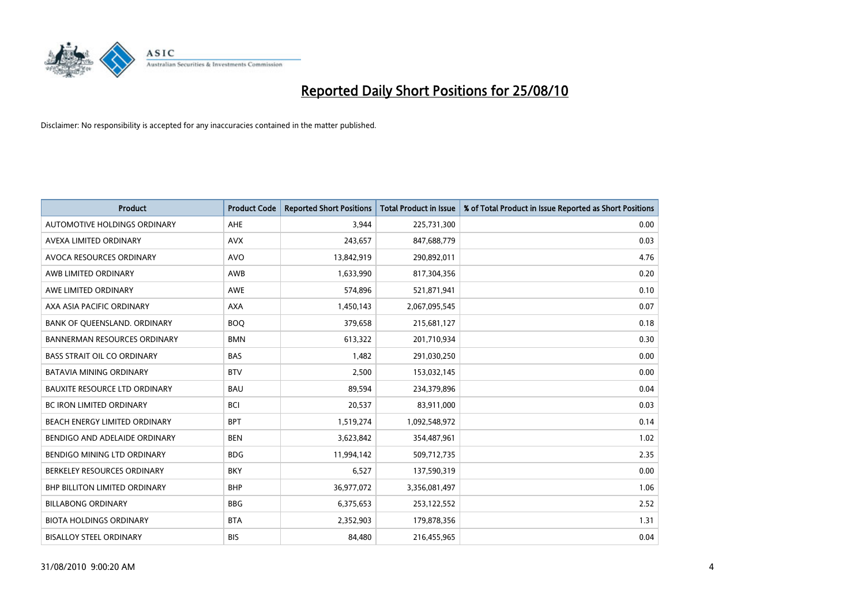

| <b>Product</b>                       | <b>Product Code</b> | <b>Reported Short Positions</b> | <b>Total Product in Issue</b> | % of Total Product in Issue Reported as Short Positions |
|--------------------------------------|---------------------|---------------------------------|-------------------------------|---------------------------------------------------------|
| AUTOMOTIVE HOLDINGS ORDINARY         | <b>AHE</b>          | 3,944                           | 225,731,300                   | 0.00                                                    |
| AVEXA LIMITED ORDINARY               | <b>AVX</b>          | 243,657                         | 847,688,779                   | 0.03                                                    |
| AVOCA RESOURCES ORDINARY             | <b>AVO</b>          | 13,842,919                      | 290,892,011                   | 4.76                                                    |
| AWB LIMITED ORDINARY                 | AWB                 | 1,633,990                       | 817,304,356                   | 0.20                                                    |
| AWE LIMITED ORDINARY                 | <b>AWE</b>          | 574,896                         | 521,871,941                   | 0.10                                                    |
| AXA ASIA PACIFIC ORDINARY            | <b>AXA</b>          | 1,450,143                       | 2,067,095,545                 | 0.07                                                    |
| BANK OF QUEENSLAND. ORDINARY         | <b>BOO</b>          | 379,658                         | 215,681,127                   | 0.18                                                    |
| <b>BANNERMAN RESOURCES ORDINARY</b>  | <b>BMN</b>          | 613,322                         | 201,710,934                   | 0.30                                                    |
| <b>BASS STRAIT OIL CO ORDINARY</b>   | <b>BAS</b>          | 1,482                           | 291,030,250                   | 0.00                                                    |
| <b>BATAVIA MINING ORDINARY</b>       | <b>BTV</b>          | 2,500                           | 153,032,145                   | 0.00                                                    |
| <b>BAUXITE RESOURCE LTD ORDINARY</b> | <b>BAU</b>          | 89,594                          | 234,379,896                   | 0.04                                                    |
| <b>BC IRON LIMITED ORDINARY</b>      | <b>BCI</b>          | 20,537                          | 83,911,000                    | 0.03                                                    |
| BEACH ENERGY LIMITED ORDINARY        | <b>BPT</b>          | 1,519,274                       | 1,092,548,972                 | 0.14                                                    |
| BENDIGO AND ADELAIDE ORDINARY        | <b>BEN</b>          | 3,623,842                       | 354,487,961                   | 1.02                                                    |
| BENDIGO MINING LTD ORDINARY          | <b>BDG</b>          | 11,994,142                      | 509,712,735                   | 2.35                                                    |
| BERKELEY RESOURCES ORDINARY          | <b>BKY</b>          | 6,527                           | 137,590,319                   | 0.00                                                    |
| BHP BILLITON LIMITED ORDINARY        | <b>BHP</b>          | 36,977,072                      | 3,356,081,497                 | 1.06                                                    |
| <b>BILLABONG ORDINARY</b>            | <b>BBG</b>          | 6,375,653                       | 253,122,552                   | 2.52                                                    |
| <b>BIOTA HOLDINGS ORDINARY</b>       | <b>BTA</b>          | 2,352,903                       | 179,878,356                   | 1.31                                                    |
| <b>BISALLOY STEEL ORDINARY</b>       | <b>BIS</b>          | 84,480                          | 216,455,965                   | 0.04                                                    |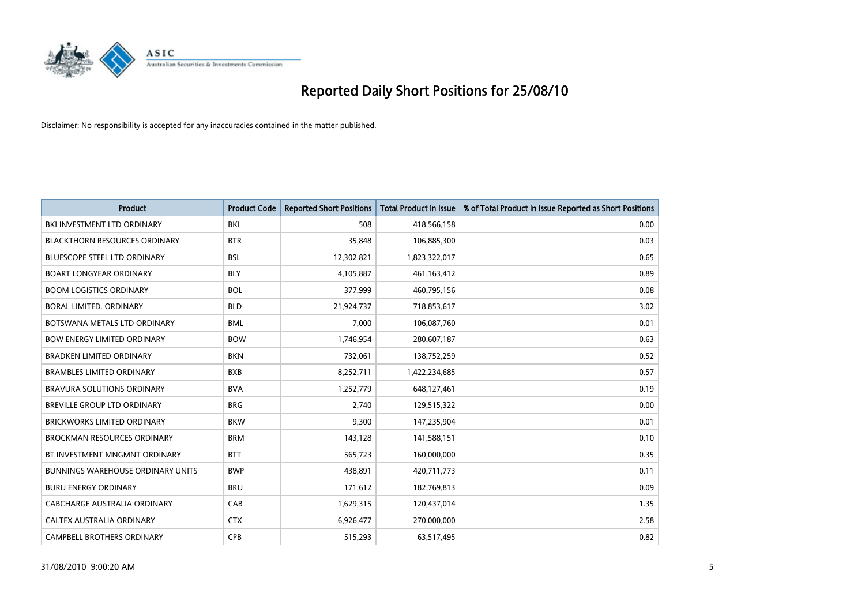

| <b>Product</b>                           | <b>Product Code</b> | <b>Reported Short Positions</b> | Total Product in Issue | % of Total Product in Issue Reported as Short Positions |
|------------------------------------------|---------------------|---------------------------------|------------------------|---------------------------------------------------------|
| BKI INVESTMENT LTD ORDINARY              | BKI                 | 508                             | 418,566,158            | 0.00                                                    |
| <b>BLACKTHORN RESOURCES ORDINARY</b>     | <b>BTR</b>          | 35,848                          | 106,885,300            | 0.03                                                    |
| <b>BLUESCOPE STEEL LTD ORDINARY</b>      | <b>BSL</b>          | 12,302,821                      | 1,823,322,017          | 0.65                                                    |
| <b>BOART LONGYEAR ORDINARY</b>           | <b>BLY</b>          | 4,105,887                       | 461,163,412            | 0.89                                                    |
| <b>BOOM LOGISTICS ORDINARY</b>           | <b>BOL</b>          | 377,999                         | 460,795,156            | 0.08                                                    |
| BORAL LIMITED, ORDINARY                  | <b>BLD</b>          | 21,924,737                      | 718,853,617            | 3.02                                                    |
| BOTSWANA METALS LTD ORDINARY             | <b>BML</b>          | 7.000                           | 106,087,760            | 0.01                                                    |
| <b>BOW ENERGY LIMITED ORDINARY</b>       | <b>BOW</b>          | 1,746,954                       | 280,607,187            | 0.63                                                    |
| BRADKEN LIMITED ORDINARY                 | <b>BKN</b>          | 732,061                         | 138,752,259            | 0.52                                                    |
| <b>BRAMBLES LIMITED ORDINARY</b>         | <b>BXB</b>          | 8,252,711                       | 1,422,234,685          | 0.57                                                    |
| <b>BRAVURA SOLUTIONS ORDINARY</b>        | <b>BVA</b>          | 1,252,779                       | 648,127,461            | 0.19                                                    |
| <b>BREVILLE GROUP LTD ORDINARY</b>       | <b>BRG</b>          | 2,740                           | 129,515,322            | 0.00                                                    |
| <b>BRICKWORKS LIMITED ORDINARY</b>       | <b>BKW</b>          | 9,300                           | 147,235,904            | 0.01                                                    |
| <b>BROCKMAN RESOURCES ORDINARY</b>       | <b>BRM</b>          | 143,128                         | 141,588,151            | 0.10                                                    |
| BT INVESTMENT MNGMNT ORDINARY            | <b>BTT</b>          | 565,723                         | 160,000,000            | 0.35                                                    |
| <b>BUNNINGS WAREHOUSE ORDINARY UNITS</b> | <b>BWP</b>          | 438.891                         | 420,711,773            | 0.11                                                    |
| <b>BURU ENERGY ORDINARY</b>              | <b>BRU</b>          | 171,612                         | 182,769,813            | 0.09                                                    |
| CABCHARGE AUSTRALIA ORDINARY             | CAB                 | 1,629,315                       | 120,437,014            | 1.35                                                    |
| CALTEX AUSTRALIA ORDINARY                | <b>CTX</b>          | 6,926,477                       | 270,000,000            | 2.58                                                    |
| <b>CAMPBELL BROTHERS ORDINARY</b>        | CPB                 | 515,293                         | 63,517,495             | 0.82                                                    |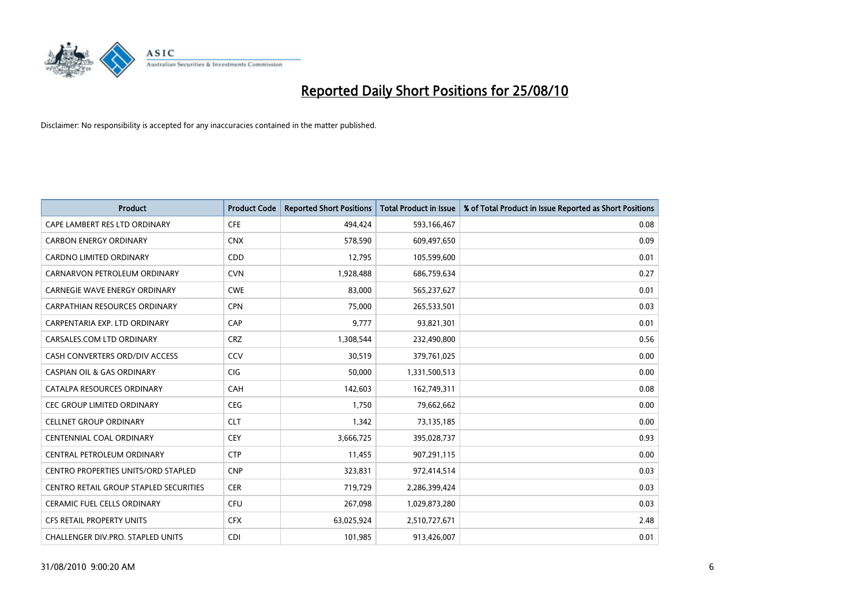

| <b>Product</b>                         | <b>Product Code</b> | <b>Reported Short Positions</b> | <b>Total Product in Issue</b> | % of Total Product in Issue Reported as Short Positions |
|----------------------------------------|---------------------|---------------------------------|-------------------------------|---------------------------------------------------------|
| CAPE LAMBERT RES LTD ORDINARY          | <b>CFE</b>          | 494,424                         | 593,166,467                   | 0.08                                                    |
| <b>CARBON ENERGY ORDINARY</b>          | <b>CNX</b>          | 578,590                         | 609,497,650                   | 0.09                                                    |
| <b>CARDNO LIMITED ORDINARY</b>         | CDD                 | 12.795                          | 105,599,600                   | 0.01                                                    |
| CARNARVON PETROLEUM ORDINARY           | <b>CVN</b>          | 1,928,488                       | 686,759,634                   | 0.27                                                    |
| <b>CARNEGIE WAVE ENERGY ORDINARY</b>   | <b>CWE</b>          | 83,000                          | 565,237,627                   | 0.01                                                    |
| CARPATHIAN RESOURCES ORDINARY          | <b>CPN</b>          | 75.000                          | 265,533,501                   | 0.03                                                    |
| CARPENTARIA EXP. LTD ORDINARY          | CAP                 | 9,777                           | 93,821,301                    | 0.01                                                    |
| CARSALES.COM LTD ORDINARY              | <b>CRZ</b>          | 1,308,544                       | 232,490,800                   | 0.56                                                    |
| CASH CONVERTERS ORD/DIV ACCESS         | CCV                 | 30,519                          | 379,761,025                   | 0.00                                                    |
| <b>CASPIAN OIL &amp; GAS ORDINARY</b>  | <b>CIG</b>          | 50,000                          | 1,331,500,513                 | 0.00                                                    |
| CATALPA RESOURCES ORDINARY             | <b>CAH</b>          | 142,603                         | 162,749,311                   | 0.08                                                    |
| <b>CEC GROUP LIMITED ORDINARY</b>      | <b>CEG</b>          | 1,750                           | 79,662,662                    | 0.00                                                    |
| <b>CELLNET GROUP ORDINARY</b>          | <b>CLT</b>          | 1,342                           | 73,135,185                    | 0.00                                                    |
| <b>CENTENNIAL COAL ORDINARY</b>        | <b>CEY</b>          | 3,666,725                       | 395,028,737                   | 0.93                                                    |
| CENTRAL PETROLEUM ORDINARY             | <b>CTP</b>          | 11,455                          | 907,291,115                   | 0.00                                                    |
| CENTRO PROPERTIES UNITS/ORD STAPLED    | <b>CNP</b>          | 323,831                         | 972,414,514                   | 0.03                                                    |
| CENTRO RETAIL GROUP STAPLED SECURITIES | <b>CER</b>          | 719,729                         | 2,286,399,424                 | 0.03                                                    |
| <b>CERAMIC FUEL CELLS ORDINARY</b>     | <b>CFU</b>          | 267,098                         | 1,029,873,280                 | 0.03                                                    |
| <b>CFS RETAIL PROPERTY UNITS</b>       | <b>CFX</b>          | 63,025,924                      | 2,510,727,671                 | 2.48                                                    |
| CHALLENGER DIV.PRO. STAPLED UNITS      | <b>CDI</b>          | 101,985                         | 913,426,007                   | 0.01                                                    |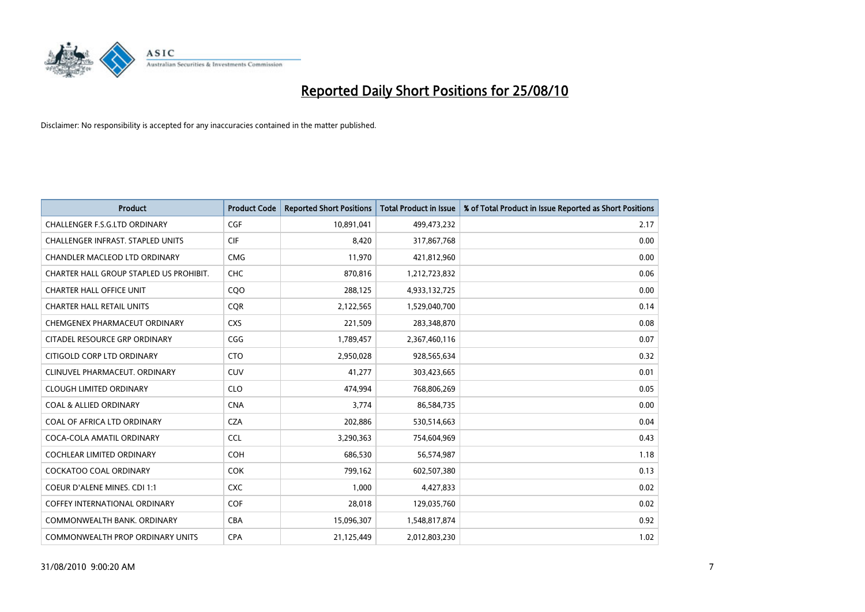

| <b>Product</b>                          | <b>Product Code</b> | <b>Reported Short Positions</b> | <b>Total Product in Issue</b> | % of Total Product in Issue Reported as Short Positions |
|-----------------------------------------|---------------------|---------------------------------|-------------------------------|---------------------------------------------------------|
| <b>CHALLENGER F.S.G.LTD ORDINARY</b>    | CGF                 | 10,891,041                      | 499,473,232                   | 2.17                                                    |
| CHALLENGER INFRAST. STAPLED UNITS       | <b>CIF</b>          | 8,420                           | 317,867,768                   | 0.00                                                    |
| <b>CHANDLER MACLEOD LTD ORDINARY</b>    | <b>CMG</b>          | 11,970                          | 421,812,960                   | 0.00                                                    |
| CHARTER HALL GROUP STAPLED US PROHIBIT. | CHC                 | 870,816                         | 1,212,723,832                 | 0.06                                                    |
| <b>CHARTER HALL OFFICE UNIT</b>         | COO                 | 288,125                         | 4,933,132,725                 | 0.00                                                    |
| <b>CHARTER HALL RETAIL UNITS</b>        | <b>COR</b>          | 2,122,565                       | 1,529,040,700                 | 0.14                                                    |
| CHEMGENEX PHARMACEUT ORDINARY           | <b>CXS</b>          | 221,509                         | 283,348,870                   | 0.08                                                    |
| CITADEL RESOURCE GRP ORDINARY           | CGG                 | 1,789,457                       | 2,367,460,116                 | 0.07                                                    |
| CITIGOLD CORP LTD ORDINARY              | <b>CTO</b>          | 2,950,028                       | 928,565,634                   | 0.32                                                    |
| CLINUVEL PHARMACEUT, ORDINARY           | <b>CUV</b>          | 41,277                          | 303,423,665                   | 0.01                                                    |
| <b>CLOUGH LIMITED ORDINARY</b>          | <b>CLO</b>          | 474,994                         | 768,806,269                   | 0.05                                                    |
| <b>COAL &amp; ALLIED ORDINARY</b>       | <b>CNA</b>          | 3,774                           | 86,584,735                    | 0.00                                                    |
| COAL OF AFRICA LTD ORDINARY             | <b>CZA</b>          | 202,886                         | 530,514,663                   | 0.04                                                    |
| COCA-COLA AMATIL ORDINARY               | <b>CCL</b>          | 3,290,363                       | 754,604,969                   | 0.43                                                    |
| <b>COCHLEAR LIMITED ORDINARY</b>        | COH                 | 686,530                         | 56,574,987                    | 1.18                                                    |
| <b>COCKATOO COAL ORDINARY</b>           | <b>COK</b>          | 799,162                         | 602,507,380                   | 0.13                                                    |
| COEUR D'ALENE MINES. CDI 1:1            | <b>CXC</b>          | 1,000                           | 4,427,833                     | 0.02                                                    |
| <b>COFFEY INTERNATIONAL ORDINARY</b>    | <b>COF</b>          | 28,018                          | 129,035,760                   | 0.02                                                    |
| COMMONWEALTH BANK, ORDINARY             | CBA                 | 15,096,307                      | 1,548,817,874                 | 0.92                                                    |
| COMMONWEALTH PROP ORDINARY UNITS        | <b>CPA</b>          | 21,125,449                      | 2,012,803,230                 | 1.02                                                    |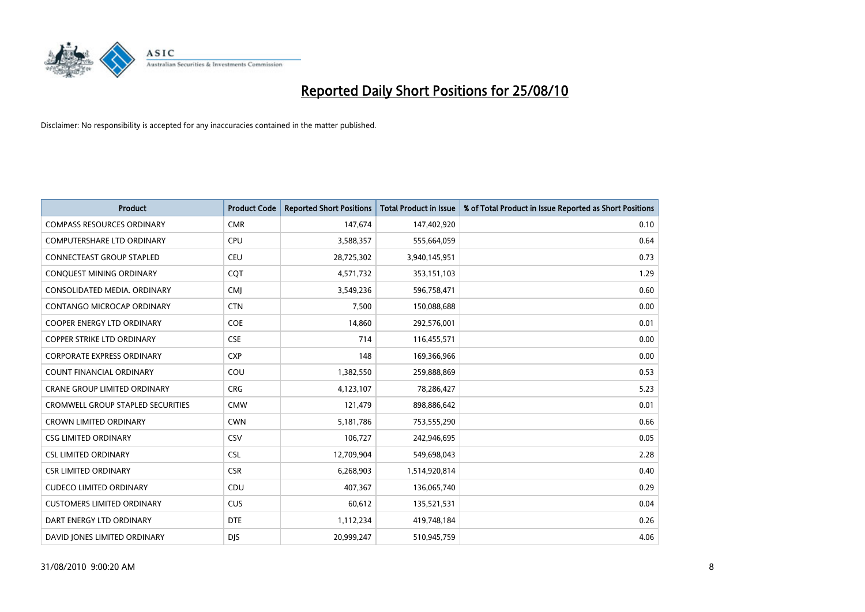

| <b>Product</b>                      | <b>Product Code</b> | <b>Reported Short Positions</b> | <b>Total Product in Issue</b> | % of Total Product in Issue Reported as Short Positions |
|-------------------------------------|---------------------|---------------------------------|-------------------------------|---------------------------------------------------------|
| <b>COMPASS RESOURCES ORDINARY</b>   | <b>CMR</b>          | 147,674                         | 147,402,920                   | 0.10                                                    |
| COMPUTERSHARE LTD ORDINARY          | CPU                 | 3,588,357                       | 555,664,059                   | 0.64                                                    |
| <b>CONNECTEAST GROUP STAPLED</b>    | CEU                 | 28,725,302                      | 3,940,145,951                 | 0.73                                                    |
| CONQUEST MINING ORDINARY            | CQT                 | 4,571,732                       | 353,151,103                   | 1.29                                                    |
| CONSOLIDATED MEDIA, ORDINARY        | <b>CMI</b>          | 3,549,236                       | 596,758,471                   | 0.60                                                    |
| CONTANGO MICROCAP ORDINARY          | <b>CTN</b>          | 7,500                           | 150,088,688                   | 0.00                                                    |
| <b>COOPER ENERGY LTD ORDINARY</b>   | <b>COE</b>          | 14,860                          | 292,576,001                   | 0.01                                                    |
| <b>COPPER STRIKE LTD ORDINARY</b>   | <b>CSE</b>          | 714                             | 116,455,571                   | 0.00                                                    |
| <b>CORPORATE EXPRESS ORDINARY</b>   | <b>CXP</b>          | 148                             | 169,366,966                   | 0.00                                                    |
| <b>COUNT FINANCIAL ORDINARY</b>     | COU                 | 1,382,550                       | 259,888,869                   | 0.53                                                    |
| <b>CRANE GROUP LIMITED ORDINARY</b> | <b>CRG</b>          | 4,123,107                       | 78,286,427                    | 5.23                                                    |
| CROMWELL GROUP STAPLED SECURITIES   | <b>CMW</b>          | 121,479                         | 898,886,642                   | 0.01                                                    |
| <b>CROWN LIMITED ORDINARY</b>       | <b>CWN</b>          | 5,181,786                       | 753,555,290                   | 0.66                                                    |
| <b>CSG LIMITED ORDINARY</b>         | CSV                 | 106,727                         | 242,946,695                   | 0.05                                                    |
| <b>CSL LIMITED ORDINARY</b>         | <b>CSL</b>          | 12,709,904                      | 549,698,043                   | 2.28                                                    |
| <b>CSR LIMITED ORDINARY</b>         | <b>CSR</b>          | 6,268,903                       | 1,514,920,814                 | 0.40                                                    |
| <b>CUDECO LIMITED ORDINARY</b>      | CDU                 | 407,367                         | 136,065,740                   | 0.29                                                    |
| <b>CUSTOMERS LIMITED ORDINARY</b>   | <b>CUS</b>          | 60,612                          | 135,521,531                   | 0.04                                                    |
| DART ENERGY LTD ORDINARY            | <b>DTE</b>          | 1,112,234                       | 419,748,184                   | 0.26                                                    |
| DAVID JONES LIMITED ORDINARY        | <b>DIS</b>          | 20,999,247                      | 510,945,759                   | 4.06                                                    |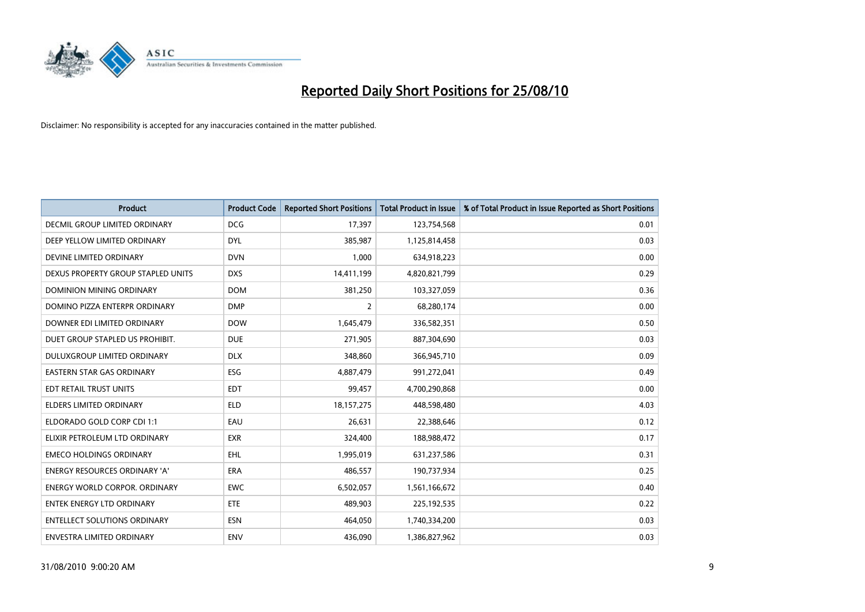

| <b>Product</b>                       | <b>Product Code</b> | <b>Reported Short Positions</b> | <b>Total Product in Issue</b> | % of Total Product in Issue Reported as Short Positions |
|--------------------------------------|---------------------|---------------------------------|-------------------------------|---------------------------------------------------------|
| DECMIL GROUP LIMITED ORDINARY        | <b>DCG</b>          | 17,397                          | 123,754,568                   | 0.01                                                    |
| DEEP YELLOW LIMITED ORDINARY         | <b>DYL</b>          | 385,987                         | 1,125,814,458                 | 0.03                                                    |
| DEVINE LIMITED ORDINARY              | <b>DVN</b>          | 1,000                           | 634,918,223                   | 0.00                                                    |
| DEXUS PROPERTY GROUP STAPLED UNITS   | <b>DXS</b>          | 14,411,199                      | 4,820,821,799                 | 0.29                                                    |
| <b>DOMINION MINING ORDINARY</b>      | <b>DOM</b>          | 381,250                         | 103,327,059                   | 0.36                                                    |
| DOMINO PIZZA ENTERPR ORDINARY        | <b>DMP</b>          | $\overline{2}$                  | 68,280,174                    | 0.00                                                    |
| DOWNER EDI LIMITED ORDINARY          | <b>DOW</b>          | 1,645,479                       | 336,582,351                   | 0.50                                                    |
| DUET GROUP STAPLED US PROHIBIT.      | <b>DUE</b>          | 271,905                         | 887,304,690                   | 0.03                                                    |
| DULUXGROUP LIMITED ORDINARY          | <b>DLX</b>          | 348,860                         | 366,945,710                   | 0.09                                                    |
| <b>EASTERN STAR GAS ORDINARY</b>     | <b>ESG</b>          | 4,887,479                       | 991,272,041                   | 0.49                                                    |
| EDT RETAIL TRUST UNITS               | <b>EDT</b>          | 99,457                          | 4,700,290,868                 | 0.00                                                    |
| <b>ELDERS LIMITED ORDINARY</b>       | <b>ELD</b>          | 18, 157, 275                    | 448,598,480                   | 4.03                                                    |
| ELDORADO GOLD CORP CDI 1:1           | EAU                 | 26,631                          | 22,388,646                    | 0.12                                                    |
| ELIXIR PETROLEUM LTD ORDINARY        | <b>EXR</b>          | 324,400                         | 188,988,472                   | 0.17                                                    |
| <b>EMECO HOLDINGS ORDINARY</b>       | <b>EHL</b>          | 1,995,019                       | 631,237,586                   | 0.31                                                    |
| <b>ENERGY RESOURCES ORDINARY 'A'</b> | ERA                 | 486,557                         | 190,737,934                   | 0.25                                                    |
| <b>ENERGY WORLD CORPOR, ORDINARY</b> | <b>EWC</b>          | 6,502,057                       | 1,561,166,672                 | 0.40                                                    |
| <b>ENTEK ENERGY LTD ORDINARY</b>     | <b>ETE</b>          | 489,903                         | 225,192,535                   | 0.22                                                    |
| <b>ENTELLECT SOLUTIONS ORDINARY</b>  | <b>ESN</b>          | 464,050                         | 1,740,334,200                 | 0.03                                                    |
| ENVESTRA LIMITED ORDINARY            | <b>ENV</b>          | 436.090                         | 1,386,827,962                 | 0.03                                                    |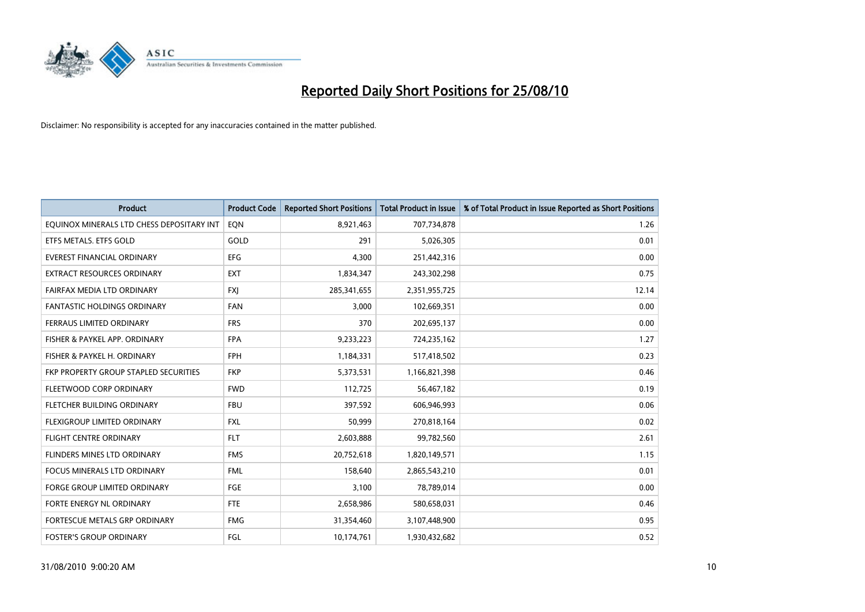

| <b>Product</b>                            | <b>Product Code</b> | <b>Reported Short Positions</b> | <b>Total Product in Issue</b> | % of Total Product in Issue Reported as Short Positions |
|-------------------------------------------|---------------------|---------------------------------|-------------------------------|---------------------------------------------------------|
| EQUINOX MINERALS LTD CHESS DEPOSITARY INT | EQN                 | 8,921,463                       | 707,734,878                   | 1.26                                                    |
| ETFS METALS. ETFS GOLD                    | GOLD                | 291                             | 5,026,305                     | 0.01                                                    |
| EVEREST FINANCIAL ORDINARY                | <b>EFG</b>          | 4.300                           | 251,442,316                   | 0.00                                                    |
| EXTRACT RESOURCES ORDINARY                | <b>EXT</b>          | 1,834,347                       | 243,302,298                   | 0.75                                                    |
| FAIRFAX MEDIA LTD ORDINARY                | <b>FXI</b>          | 285,341,655                     | 2,351,955,725                 | 12.14                                                   |
| <b>FANTASTIC HOLDINGS ORDINARY</b>        | <b>FAN</b>          | 3,000                           | 102,669,351                   | 0.00                                                    |
| <b>FERRAUS LIMITED ORDINARY</b>           | <b>FRS</b>          | 370                             | 202,695,137                   | 0.00                                                    |
| FISHER & PAYKEL APP. ORDINARY             | <b>FPA</b>          | 9,233,223                       | 724,235,162                   | 1.27                                                    |
| FISHER & PAYKEL H. ORDINARY               | <b>FPH</b>          | 1,184,331                       | 517,418,502                   | 0.23                                                    |
| FKP PROPERTY GROUP STAPLED SECURITIES     | <b>FKP</b>          | 5,373,531                       | 1,166,821,398                 | 0.46                                                    |
| FLEETWOOD CORP ORDINARY                   | <b>FWD</b>          | 112,725                         | 56,467,182                    | 0.19                                                    |
| FLETCHER BUILDING ORDINARY                | <b>FBU</b>          | 397,592                         | 606,946,993                   | 0.06                                                    |
| FLEXIGROUP LIMITED ORDINARY               | <b>FXL</b>          | 50,999                          | 270,818,164                   | 0.02                                                    |
| <b>FLIGHT CENTRE ORDINARY</b>             | <b>FLT</b>          | 2,603,888                       | 99,782,560                    | 2.61                                                    |
| FLINDERS MINES LTD ORDINARY               | <b>FMS</b>          | 20,752,618                      | 1,820,149,571                 | 1.15                                                    |
| FOCUS MINERALS LTD ORDINARY               | <b>FML</b>          | 158,640                         | 2,865,543,210                 | 0.01                                                    |
| FORGE GROUP LIMITED ORDINARY              | <b>FGE</b>          | 3,100                           | 78,789,014                    | 0.00                                                    |
| FORTE ENERGY NL ORDINARY                  | <b>FTE</b>          | 2,658,986                       | 580,658,031                   | 0.46                                                    |
| FORTESCUE METALS GRP ORDINARY             | <b>FMG</b>          | 31,354,460                      | 3,107,448,900                 | 0.95                                                    |
| <b>FOSTER'S GROUP ORDINARY</b>            | FGL                 | 10,174,761                      | 1,930,432,682                 | 0.52                                                    |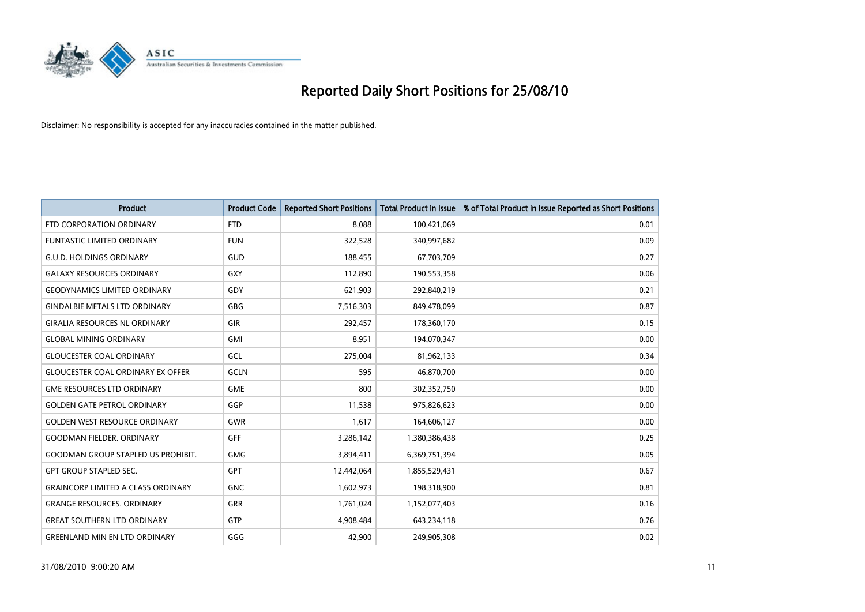

| <b>Product</b>                            | <b>Product Code</b> | <b>Reported Short Positions</b> | <b>Total Product in Issue</b> | % of Total Product in Issue Reported as Short Positions |
|-------------------------------------------|---------------------|---------------------------------|-------------------------------|---------------------------------------------------------|
| FTD CORPORATION ORDINARY                  | <b>FTD</b>          | 8,088                           | 100,421,069                   | 0.01                                                    |
| FUNTASTIC LIMITED ORDINARY                | <b>FUN</b>          | 322,528                         | 340,997,682                   | 0.09                                                    |
| <b>G.U.D. HOLDINGS ORDINARY</b>           | GUD                 | 188,455                         | 67,703,709                    | 0.27                                                    |
| <b>GALAXY RESOURCES ORDINARY</b>          | <b>GXY</b>          | 112,890                         | 190,553,358                   | 0.06                                                    |
| <b>GEODYNAMICS LIMITED ORDINARY</b>       | GDY                 | 621,903                         | 292,840,219                   | 0.21                                                    |
| <b>GINDALBIE METALS LTD ORDINARY</b>      | <b>GBG</b>          | 7,516,303                       | 849,478,099                   | 0.87                                                    |
| <b>GIRALIA RESOURCES NL ORDINARY</b>      | <b>GIR</b>          | 292,457                         | 178,360,170                   | 0.15                                                    |
| <b>GLOBAL MINING ORDINARY</b>             | <b>GMI</b>          | 8,951                           | 194,070,347                   | 0.00                                                    |
| <b>GLOUCESTER COAL ORDINARY</b>           | GCL                 | 275,004                         | 81,962,133                    | 0.34                                                    |
| <b>GLOUCESTER COAL ORDINARY EX OFFER</b>  | <b>GCLN</b>         | 595                             | 46,870,700                    | 0.00                                                    |
| <b>GME RESOURCES LTD ORDINARY</b>         | <b>GME</b>          | 800                             | 302,352,750                   | 0.00                                                    |
| <b>GOLDEN GATE PETROL ORDINARY</b>        | GGP                 | 11,538                          | 975,826,623                   | 0.00                                                    |
| <b>GOLDEN WEST RESOURCE ORDINARY</b>      | <b>GWR</b>          | 1,617                           | 164,606,127                   | 0.00                                                    |
| <b>GOODMAN FIELDER, ORDINARY</b>          | <b>GFF</b>          | 3,286,142                       | 1,380,386,438                 | 0.25                                                    |
| <b>GOODMAN GROUP STAPLED US PROHIBIT.</b> | <b>GMG</b>          | 3,894,411                       | 6,369,751,394                 | 0.05                                                    |
| <b>GPT GROUP STAPLED SEC.</b>             | <b>GPT</b>          | 12,442,064                      | 1,855,529,431                 | 0.67                                                    |
| <b>GRAINCORP LIMITED A CLASS ORDINARY</b> | <b>GNC</b>          | 1,602,973                       | 198,318,900                   | 0.81                                                    |
| <b>GRANGE RESOURCES. ORDINARY</b>         | <b>GRR</b>          | 1,761,024                       | 1,152,077,403                 | 0.16                                                    |
| <b>GREAT SOUTHERN LTD ORDINARY</b>        | <b>GTP</b>          | 4,908,484                       | 643,234,118                   | 0.76                                                    |
| <b>GREENLAND MIN EN LTD ORDINARY</b>      | GGG                 | 42,900                          | 249,905,308                   | 0.02                                                    |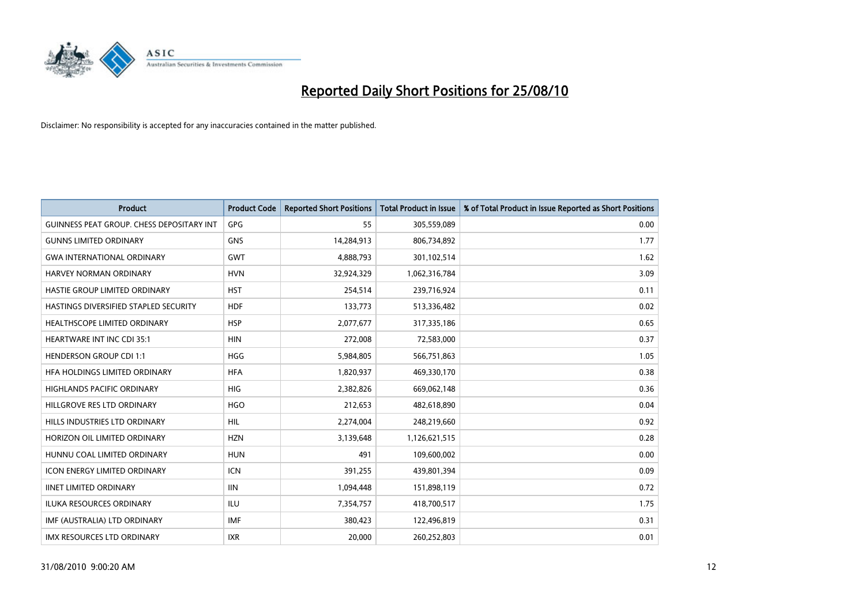

| <b>Product</b>                                   | <b>Product Code</b> | <b>Reported Short Positions</b> | <b>Total Product in Issue</b> | % of Total Product in Issue Reported as Short Positions |
|--------------------------------------------------|---------------------|---------------------------------|-------------------------------|---------------------------------------------------------|
| <b>GUINNESS PEAT GROUP. CHESS DEPOSITARY INT</b> | GPG                 | 55                              | 305,559,089                   | 0.00                                                    |
| <b>GUNNS LIMITED ORDINARY</b>                    | <b>GNS</b>          | 14,284,913                      | 806,734,892                   | 1.77                                                    |
| <b>GWA INTERNATIONAL ORDINARY</b>                | <b>GWT</b>          | 4,888,793                       | 301,102,514                   | 1.62                                                    |
| <b>HARVEY NORMAN ORDINARY</b>                    | <b>HVN</b>          | 32,924,329                      | 1,062,316,784                 | 3.09                                                    |
| HASTIE GROUP LIMITED ORDINARY                    | <b>HST</b>          | 254,514                         | 239,716,924                   | 0.11                                                    |
| HASTINGS DIVERSIFIED STAPLED SECURITY            | <b>HDF</b>          | 133,773                         | 513,336,482                   | 0.02                                                    |
| HEALTHSCOPE LIMITED ORDINARY                     | <b>HSP</b>          | 2,077,677                       | 317,335,186                   | 0.65                                                    |
| <b>HEARTWARE INT INC CDI 35:1</b>                | <b>HIN</b>          | 272,008                         | 72,583,000                    | 0.37                                                    |
| <b>HENDERSON GROUP CDI 1:1</b>                   | HGG                 | 5,984,805                       | 566,751,863                   | 1.05                                                    |
| HFA HOLDINGS LIMITED ORDINARY                    | <b>HFA</b>          | 1,820,937                       | 469,330,170                   | 0.38                                                    |
| <b>HIGHLANDS PACIFIC ORDINARY</b>                | <b>HIG</b>          | 2,382,826                       | 669,062,148                   | 0.36                                                    |
| HILLGROVE RES LTD ORDINARY                       | <b>HGO</b>          | 212,653                         | 482,618,890                   | 0.04                                                    |
| HILLS INDUSTRIES LTD ORDINARY                    | <b>HIL</b>          | 2,274,004                       | 248,219,660                   | 0.92                                                    |
| HORIZON OIL LIMITED ORDINARY                     | <b>HZN</b>          | 3,139,648                       | 1,126,621,515                 | 0.28                                                    |
| HUNNU COAL LIMITED ORDINARY                      | <b>HUN</b>          | 491                             | 109,600,002                   | 0.00                                                    |
| <b>ICON ENERGY LIMITED ORDINARY</b>              | <b>ICN</b>          | 391,255                         | 439,801,394                   | 0.09                                                    |
| <b>IINET LIMITED ORDINARY</b>                    | <b>IIN</b>          | 1,094,448                       | 151,898,119                   | 0.72                                                    |
| ILUKA RESOURCES ORDINARY                         | <b>ILU</b>          | 7,354,757                       | 418,700,517                   | 1.75                                                    |
| IMF (AUSTRALIA) LTD ORDINARY                     | IMF                 | 380,423                         | 122,496,819                   | 0.31                                                    |
| IMX RESOURCES LTD ORDINARY                       | <b>IXR</b>          | 20,000                          | 260,252,803                   | 0.01                                                    |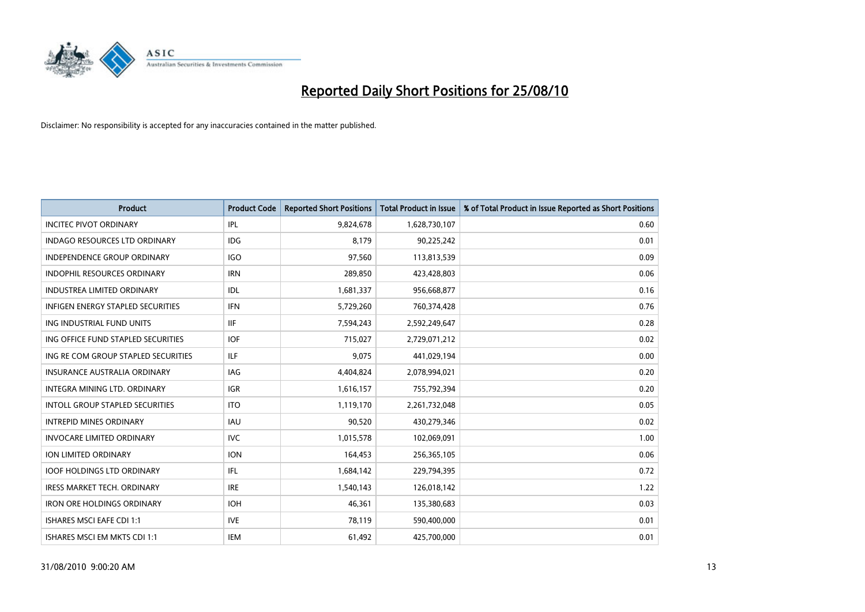

| <b>Product</b>                           | <b>Product Code</b> | <b>Reported Short Positions</b> | Total Product in Issue | % of Total Product in Issue Reported as Short Positions |
|------------------------------------------|---------------------|---------------------------------|------------------------|---------------------------------------------------------|
| <b>INCITEC PIVOT ORDINARY</b>            | <b>IPL</b>          | 9,824,678                       | 1,628,730,107          | 0.60                                                    |
| <b>INDAGO RESOURCES LTD ORDINARY</b>     | <b>IDG</b>          | 8,179                           | 90,225,242             | 0.01                                                    |
| <b>INDEPENDENCE GROUP ORDINARY</b>       | IGO                 | 97,560                          | 113,813,539            | 0.09                                                    |
| INDOPHIL RESOURCES ORDINARY              | <b>IRN</b>          | 289,850                         | 423,428,803            | 0.06                                                    |
| <b>INDUSTREA LIMITED ORDINARY</b>        | IDL                 | 1,681,337                       | 956,668,877            | 0.16                                                    |
| <b>INFIGEN ENERGY STAPLED SECURITIES</b> | <b>IFN</b>          | 5,729,260                       | 760,374,428            | 0.76                                                    |
| ING INDUSTRIAL FUND UNITS                | <b>IIF</b>          | 7,594,243                       | 2,592,249,647          | 0.28                                                    |
| ING OFFICE FUND STAPLED SECURITIES       | <b>IOF</b>          | 715,027                         | 2,729,071,212          | 0.02                                                    |
| ING RE COM GROUP STAPLED SECURITIES      | <b>ILF</b>          | 9,075                           | 441,029,194            | 0.00                                                    |
| <b>INSURANCE AUSTRALIA ORDINARY</b>      | <b>IAG</b>          | 4,404,824                       | 2,078,994,021          | 0.20                                                    |
| INTEGRA MINING LTD. ORDINARY             | <b>IGR</b>          | 1,616,157                       | 755,792,394            | 0.20                                                    |
| <b>INTOLL GROUP STAPLED SECURITIES</b>   | <b>ITO</b>          | 1,119,170                       | 2,261,732,048          | 0.05                                                    |
| <b>INTREPID MINES ORDINARY</b>           | <b>IAU</b>          | 90,520                          | 430,279,346            | 0.02                                                    |
| <b>INVOCARE LIMITED ORDINARY</b>         | <b>IVC</b>          | 1,015,578                       | 102,069,091            | 1.00                                                    |
| ION LIMITED ORDINARY                     | <b>ION</b>          | 164,453                         | 256,365,105            | 0.06                                                    |
| <b>IOOF HOLDINGS LTD ORDINARY</b>        | <b>IFL</b>          | 1,684,142                       | 229,794,395            | 0.72                                                    |
| <b>IRESS MARKET TECH. ORDINARY</b>       | <b>IRE</b>          | 1,540,143                       | 126,018,142            | 1.22                                                    |
| <b>IRON ORE HOLDINGS ORDINARY</b>        | <b>IOH</b>          | 46,361                          | 135,380,683            | 0.03                                                    |
| ISHARES MSCI EAFE CDI 1:1                | <b>IVE</b>          | 78,119                          | 590,400,000            | 0.01                                                    |
| ISHARES MSCI EM MKTS CDI 1:1             | <b>IEM</b>          | 61,492                          | 425,700,000            | 0.01                                                    |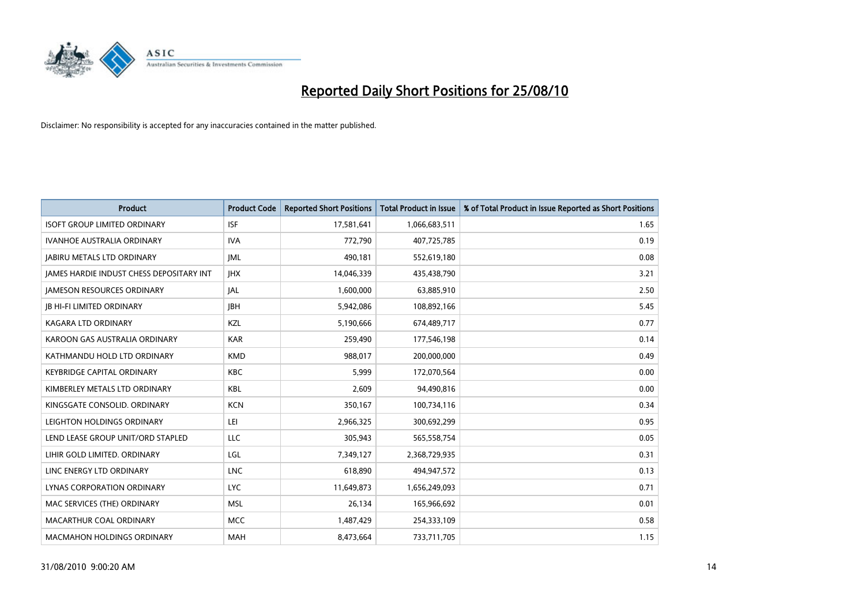

| <b>Product</b>                           | <b>Product Code</b> | <b>Reported Short Positions</b> | <b>Total Product in Issue</b> | % of Total Product in Issue Reported as Short Positions |
|------------------------------------------|---------------------|---------------------------------|-------------------------------|---------------------------------------------------------|
| <b>ISOFT GROUP LIMITED ORDINARY</b>      | <b>ISF</b>          | 17,581,641                      | 1,066,683,511                 | 1.65                                                    |
| IVANHOE AUSTRALIA ORDINARY               | <b>IVA</b>          | 772,790                         | 407,725,785                   | 0.19                                                    |
| <b>JABIRU METALS LTD ORDINARY</b>        | IML                 | 490,181                         | 552,619,180                   | 0.08                                                    |
| JAMES HARDIE INDUST CHESS DEPOSITARY INT | <b>JHX</b>          | 14,046,339                      | 435,438,790                   | 3.21                                                    |
| <b>JAMESON RESOURCES ORDINARY</b>        | <b>JAL</b>          | 1,600,000                       | 63,885,910                    | 2.50                                                    |
| <b>JB HI-FI LIMITED ORDINARY</b>         | <b>IBH</b>          | 5,942,086                       | 108,892,166                   | 5.45                                                    |
| KAGARA LTD ORDINARY                      | KZL                 | 5,190,666                       | 674,489,717                   | 0.77                                                    |
| KAROON GAS AUSTRALIA ORDINARY            | <b>KAR</b>          | 259,490                         | 177,546,198                   | 0.14                                                    |
| KATHMANDU HOLD LTD ORDINARY              | <b>KMD</b>          | 988,017                         | 200,000,000                   | 0.49                                                    |
| <b>KEYBRIDGE CAPITAL ORDINARY</b>        | <b>KBC</b>          | 5,999                           | 172,070,564                   | 0.00                                                    |
| KIMBERLEY METALS LTD ORDINARY            | <b>KBL</b>          | 2,609                           | 94,490,816                    | 0.00                                                    |
| KINGSGATE CONSOLID, ORDINARY             | <b>KCN</b>          | 350,167                         | 100,734,116                   | 0.34                                                    |
| LEIGHTON HOLDINGS ORDINARY               | LEI                 | 2,966,325                       | 300,692,299                   | 0.95                                                    |
| LEND LEASE GROUP UNIT/ORD STAPLED        | LLC                 | 305,943                         | 565,558,754                   | 0.05                                                    |
| LIHIR GOLD LIMITED. ORDINARY             | LGL                 | 7,349,127                       | 2,368,729,935                 | 0.31                                                    |
| LINC ENERGY LTD ORDINARY                 | <b>LNC</b>          | 618,890                         | 494,947,572                   | 0.13                                                    |
| LYNAS CORPORATION ORDINARY               | <b>LYC</b>          | 11,649,873                      | 1,656,249,093                 | 0.71                                                    |
| MAC SERVICES (THE) ORDINARY              | <b>MSL</b>          | 26,134                          | 165,966,692                   | 0.01                                                    |
| MACARTHUR COAL ORDINARY                  | <b>MCC</b>          | 1,487,429                       | 254,333,109                   | 0.58                                                    |
| <b>MACMAHON HOLDINGS ORDINARY</b>        | MAH                 | 8,473,664                       | 733,711,705                   | 1.15                                                    |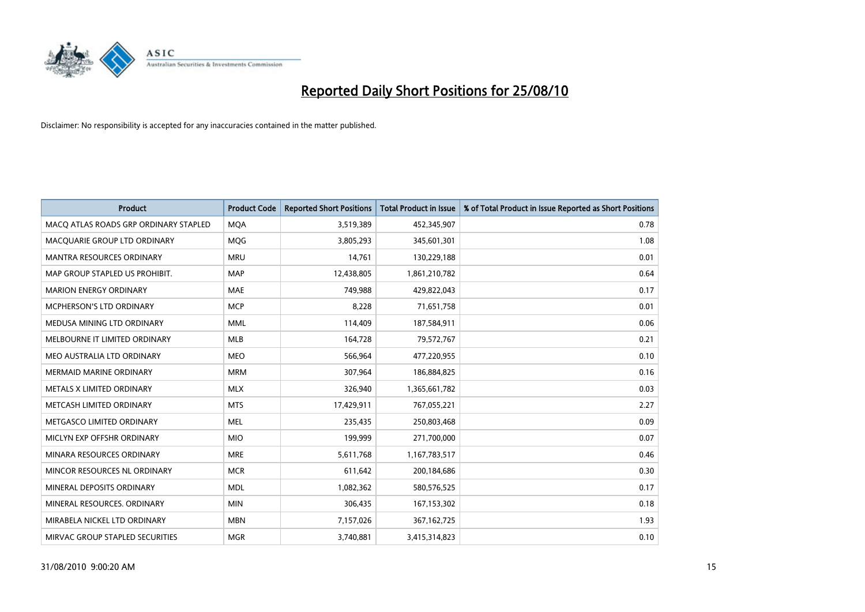

| <b>Product</b>                        | <b>Product Code</b> | <b>Reported Short Positions</b> | Total Product in Issue | % of Total Product in Issue Reported as Short Positions |
|---------------------------------------|---------------------|---------------------------------|------------------------|---------------------------------------------------------|
| MACQ ATLAS ROADS GRP ORDINARY STAPLED | <b>MQA</b>          | 3,519,389                       | 452,345,907            | 0.78                                                    |
| MACQUARIE GROUP LTD ORDINARY          | <b>MOG</b>          | 3,805,293                       | 345,601,301            | 1.08                                                    |
| <b>MANTRA RESOURCES ORDINARY</b>      | <b>MRU</b>          | 14,761                          | 130,229,188            | 0.01                                                    |
| MAP GROUP STAPLED US PROHIBIT.        | <b>MAP</b>          | 12,438,805                      | 1,861,210,782          | 0.64                                                    |
| <b>MARION ENERGY ORDINARY</b>         | <b>MAE</b>          | 749,988                         | 429,822,043            | 0.17                                                    |
| MCPHERSON'S LTD ORDINARY              | <b>MCP</b>          | 8,228                           | 71,651,758             | 0.01                                                    |
| MEDUSA MINING LTD ORDINARY            | <b>MML</b>          | 114,409                         | 187,584,911            | 0.06                                                    |
| MELBOURNE IT LIMITED ORDINARY         | <b>MLB</b>          | 164,728                         | 79,572,767             | 0.21                                                    |
| MEO AUSTRALIA LTD ORDINARY            | <b>MEO</b>          | 566,964                         | 477,220,955            | 0.10                                                    |
| <b>MERMAID MARINE ORDINARY</b>        | <b>MRM</b>          | 307,964                         | 186,884,825            | 0.16                                                    |
| METALS X LIMITED ORDINARY             | <b>MLX</b>          | 326,940                         | 1,365,661,782          | 0.03                                                    |
| METCASH LIMITED ORDINARY              | <b>MTS</b>          | 17,429,911                      | 767,055,221            | 2.27                                                    |
| METGASCO LIMITED ORDINARY             | <b>MEL</b>          | 235,435                         | 250,803,468            | 0.09                                                    |
| MICLYN EXP OFFSHR ORDINARY            | <b>MIO</b>          | 199,999                         | 271,700,000            | 0.07                                                    |
| MINARA RESOURCES ORDINARY             | <b>MRE</b>          | 5,611,768                       | 1,167,783,517          | 0.46                                                    |
| MINCOR RESOURCES NL ORDINARY          | <b>MCR</b>          | 611,642                         | 200,184,686            | 0.30                                                    |
| MINERAL DEPOSITS ORDINARY             | <b>MDL</b>          | 1,082,362                       | 580,576,525            | 0.17                                                    |
| MINERAL RESOURCES. ORDINARY           | <b>MIN</b>          | 306,435                         | 167, 153, 302          | 0.18                                                    |
| MIRABELA NICKEL LTD ORDINARY          | <b>MBN</b>          | 7,157,026                       | 367, 162, 725          | 1.93                                                    |
| MIRVAC GROUP STAPLED SECURITIES       | <b>MGR</b>          | 3,740,881                       | 3,415,314,823          | 0.10                                                    |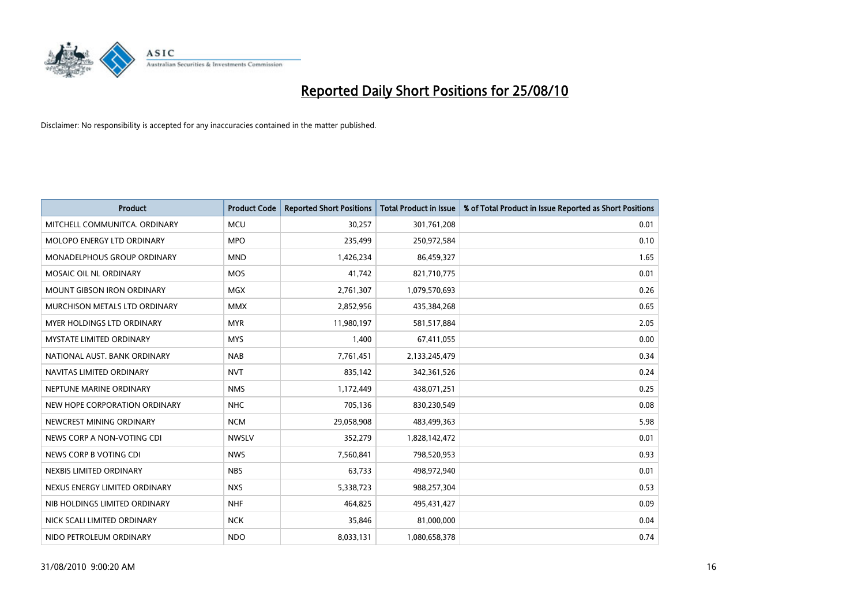

| <b>Product</b>                    | <b>Product Code</b> | <b>Reported Short Positions</b> | Total Product in Issue | % of Total Product in Issue Reported as Short Positions |
|-----------------------------------|---------------------|---------------------------------|------------------------|---------------------------------------------------------|
| MITCHELL COMMUNITCA, ORDINARY     | <b>MCU</b>          | 30,257                          | 301,761,208            | 0.01                                                    |
| MOLOPO ENERGY LTD ORDINARY        | <b>MPO</b>          | 235,499                         | 250,972,584            | 0.10                                                    |
| MONADELPHOUS GROUP ORDINARY       | <b>MND</b>          | 1,426,234                       | 86,459,327             | 1.65                                                    |
| MOSAIC OIL NL ORDINARY            | <b>MOS</b>          | 41,742                          | 821,710,775            | 0.01                                                    |
| <b>MOUNT GIBSON IRON ORDINARY</b> | <b>MGX</b>          | 2,761,307                       | 1,079,570,693          | 0.26                                                    |
| MURCHISON METALS LTD ORDINARY     | <b>MMX</b>          | 2,852,956                       | 435,384,268            | 0.65                                                    |
| <b>MYER HOLDINGS LTD ORDINARY</b> | <b>MYR</b>          | 11,980,197                      | 581,517,884            | 2.05                                                    |
| MYSTATE LIMITED ORDINARY          | <b>MYS</b>          | 1,400                           | 67,411,055             | 0.00                                                    |
| NATIONAL AUST. BANK ORDINARY      | <b>NAB</b>          | 7,761,451                       | 2,133,245,479          | 0.34                                                    |
| NAVITAS LIMITED ORDINARY          | <b>NVT</b>          | 835,142                         | 342,361,526            | 0.24                                                    |
| NEPTUNE MARINE ORDINARY           | <b>NMS</b>          | 1,172,449                       | 438,071,251            | 0.25                                                    |
| NEW HOPE CORPORATION ORDINARY     | <b>NHC</b>          | 705,136                         | 830,230,549            | 0.08                                                    |
| NEWCREST MINING ORDINARY          | <b>NCM</b>          | 29,058,908                      | 483,499,363            | 5.98                                                    |
| NEWS CORP A NON-VOTING CDI        | <b>NWSLV</b>        | 352,279                         | 1,828,142,472          | 0.01                                                    |
| NEWS CORP B VOTING CDI            | <b>NWS</b>          | 7,560,841                       | 798,520,953            | 0.93                                                    |
| NEXBIS LIMITED ORDINARY           | <b>NBS</b>          | 63,733                          | 498,972,940            | 0.01                                                    |
| NEXUS ENERGY LIMITED ORDINARY     | <b>NXS</b>          | 5,338,723                       | 988,257,304            | 0.53                                                    |
| NIB HOLDINGS LIMITED ORDINARY     | <b>NHF</b>          | 464,825                         | 495,431,427            | 0.09                                                    |
| NICK SCALI LIMITED ORDINARY       | <b>NCK</b>          | 35,846                          | 81,000,000             | 0.04                                                    |
| NIDO PETROLEUM ORDINARY           | <b>NDO</b>          | 8,033,131                       | 1,080,658,378          | 0.74                                                    |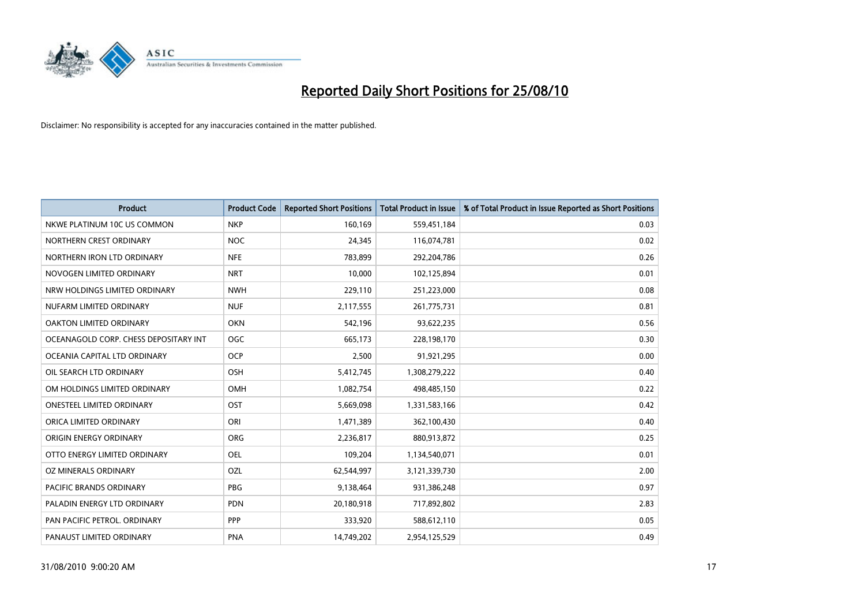

| <b>Product</b>                        | <b>Product Code</b> | <b>Reported Short Positions</b> | Total Product in Issue | % of Total Product in Issue Reported as Short Positions |
|---------------------------------------|---------------------|---------------------------------|------------------------|---------------------------------------------------------|
| NKWE PLATINUM 10C US COMMON           | <b>NKP</b>          | 160,169                         | 559,451,184            | 0.03                                                    |
| NORTHERN CREST ORDINARY               | NOC                 | 24.345                          | 116,074,781            | 0.02                                                    |
| NORTHERN IRON LTD ORDINARY            | <b>NFE</b>          | 783,899                         | 292,204,786            | 0.26                                                    |
| NOVOGEN LIMITED ORDINARY              | <b>NRT</b>          | 10,000                          | 102,125,894            | 0.01                                                    |
| NRW HOLDINGS LIMITED ORDINARY         | <b>NWH</b>          | 229,110                         | 251,223,000            | 0.08                                                    |
| NUFARM LIMITED ORDINARY               | <b>NUF</b>          | 2,117,555                       | 261,775,731            | 0.81                                                    |
| OAKTON LIMITED ORDINARY               | <b>OKN</b>          | 542.196                         | 93,622,235             | 0.56                                                    |
| OCEANAGOLD CORP. CHESS DEPOSITARY INT | <b>OGC</b>          | 665,173                         | 228,198,170            | 0.30                                                    |
| OCEANIA CAPITAL LTD ORDINARY          | <b>OCP</b>          | 2,500                           | 91,921,295             | 0.00                                                    |
| OIL SEARCH LTD ORDINARY               | <b>OSH</b>          | 5,412,745                       | 1,308,279,222          | 0.40                                                    |
| OM HOLDINGS LIMITED ORDINARY          | OMH                 | 1,082,754                       | 498,485,150            | 0.22                                                    |
| <b>ONESTEEL LIMITED ORDINARY</b>      | OST                 | 5,669,098                       | 1,331,583,166          | 0.42                                                    |
| ORICA LIMITED ORDINARY                | ORI                 | 1,471,389                       | 362,100,430            | 0.40                                                    |
| ORIGIN ENERGY ORDINARY                | <b>ORG</b>          | 2,236,817                       | 880,913,872            | 0.25                                                    |
| OTTO ENERGY LIMITED ORDINARY          | <b>OEL</b>          | 109,204                         | 1,134,540,071          | 0.01                                                    |
| OZ MINERALS ORDINARY                  | OZL                 | 62,544,997                      | 3,121,339,730          | 2.00                                                    |
| <b>PACIFIC BRANDS ORDINARY</b>        | PBG                 | 9,138,464                       | 931,386,248            | 0.97                                                    |
| PALADIN ENERGY LTD ORDINARY           | <b>PDN</b>          | 20,180,918                      | 717,892,802            | 2.83                                                    |
| PAN PACIFIC PETROL. ORDINARY          | <b>PPP</b>          | 333,920                         | 588,612,110            | 0.05                                                    |
| PANAUST LIMITED ORDINARY              | <b>PNA</b>          | 14.749.202                      | 2,954,125,529          | 0.49                                                    |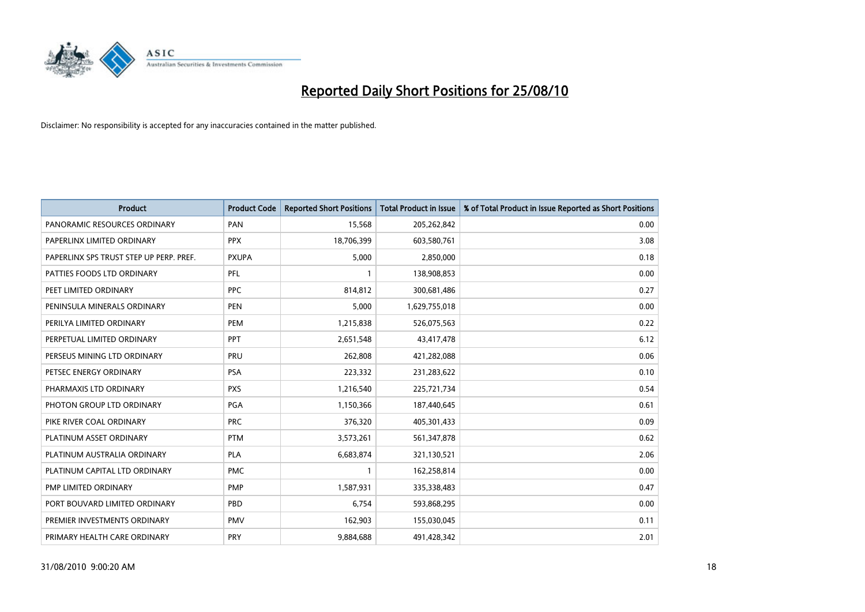

| <b>Product</b>                          | <b>Product Code</b> | <b>Reported Short Positions</b> | <b>Total Product in Issue</b> | % of Total Product in Issue Reported as Short Positions |
|-----------------------------------------|---------------------|---------------------------------|-------------------------------|---------------------------------------------------------|
| PANORAMIC RESOURCES ORDINARY            | PAN                 | 15,568                          | 205,262,842                   | 0.00                                                    |
| PAPERLINX LIMITED ORDINARY              | <b>PPX</b>          | 18,706,399                      | 603,580,761                   | 3.08                                                    |
| PAPERLINX SPS TRUST STEP UP PERP. PREF. | <b>PXUPA</b>        | 5,000                           | 2,850,000                     | 0.18                                                    |
| PATTIES FOODS LTD ORDINARY              | PFL                 |                                 | 138,908,853                   | 0.00                                                    |
| PEET LIMITED ORDINARY                   | <b>PPC</b>          | 814,812                         | 300,681,486                   | 0.27                                                    |
| PENINSULA MINERALS ORDINARY             | <b>PEN</b>          | 5,000                           | 1,629,755,018                 | 0.00                                                    |
| PERILYA LIMITED ORDINARY                | <b>PEM</b>          | 1,215,838                       | 526,075,563                   | 0.22                                                    |
| PERPETUAL LIMITED ORDINARY              | PPT                 | 2,651,548                       | 43,417,478                    | 6.12                                                    |
| PERSEUS MINING LTD ORDINARY             | PRU                 | 262,808                         | 421,282,088                   | 0.06                                                    |
| PETSEC ENERGY ORDINARY                  | <b>PSA</b>          | 223,332                         | 231,283,622                   | 0.10                                                    |
| PHARMAXIS LTD ORDINARY                  | <b>PXS</b>          | 1,216,540                       | 225,721,734                   | 0.54                                                    |
| PHOTON GROUP LTD ORDINARY               | <b>PGA</b>          | 1,150,366                       | 187,440,645                   | 0.61                                                    |
| PIKE RIVER COAL ORDINARY                | <b>PRC</b>          | 376,320                         | 405,301,433                   | 0.09                                                    |
| PLATINUM ASSET ORDINARY                 | <b>PTM</b>          | 3,573,261                       | 561,347,878                   | 0.62                                                    |
| PLATINUM AUSTRALIA ORDINARY             | <b>PLA</b>          | 6,683,874                       | 321,130,521                   | 2.06                                                    |
| PLATINUM CAPITAL LTD ORDINARY           | <b>PMC</b>          |                                 | 162,258,814                   | 0.00                                                    |
| PMP LIMITED ORDINARY                    | <b>PMP</b>          | 1,587,931                       | 335,338,483                   | 0.47                                                    |
| PORT BOUVARD LIMITED ORDINARY           | PBD                 | 6,754                           | 593,868,295                   | 0.00                                                    |
| PREMIER INVESTMENTS ORDINARY            | <b>PMV</b>          | 162,903                         | 155,030,045                   | 0.11                                                    |
| PRIMARY HEALTH CARE ORDINARY            | PRY                 | 9,884,688                       | 491,428,342                   | 2.01                                                    |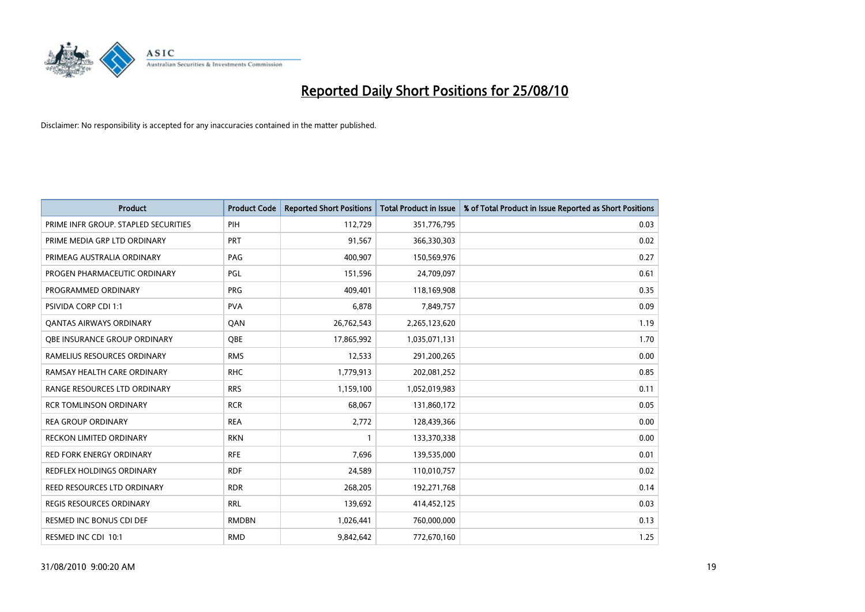

| <b>Product</b>                       | <b>Product Code</b> | <b>Reported Short Positions</b> | <b>Total Product in Issue</b> | % of Total Product in Issue Reported as Short Positions |
|--------------------------------------|---------------------|---------------------------------|-------------------------------|---------------------------------------------------------|
| PRIME INFR GROUP. STAPLED SECURITIES | PIH                 | 112,729                         | 351,776,795                   | 0.03                                                    |
| PRIME MEDIA GRP LTD ORDINARY         | <b>PRT</b>          | 91,567                          | 366,330,303                   | 0.02                                                    |
| PRIMEAG AUSTRALIA ORDINARY           | PAG                 | 400,907                         | 150,569,976                   | 0.27                                                    |
| PROGEN PHARMACEUTIC ORDINARY         | <b>PGL</b>          | 151,596                         | 24,709,097                    | 0.61                                                    |
| PROGRAMMED ORDINARY                  | PRG                 | 409,401                         | 118,169,908                   | 0.35                                                    |
| PSIVIDA CORP CDI 1:1                 | <b>PVA</b>          | 6,878                           | 7,849,757                     | 0.09                                                    |
| <b>QANTAS AIRWAYS ORDINARY</b>       | QAN                 | 26,762,543                      | 2,265,123,620                 | 1.19                                                    |
| OBE INSURANCE GROUP ORDINARY         | <b>OBE</b>          | 17,865,992                      | 1,035,071,131                 | 1.70                                                    |
| RAMELIUS RESOURCES ORDINARY          | <b>RMS</b>          | 12,533                          | 291,200,265                   | 0.00                                                    |
| RAMSAY HEALTH CARE ORDINARY          | <b>RHC</b>          | 1,779,913                       | 202,081,252                   | 0.85                                                    |
| RANGE RESOURCES LTD ORDINARY         | <b>RRS</b>          | 1,159,100                       | 1,052,019,983                 | 0.11                                                    |
| <b>RCR TOMLINSON ORDINARY</b>        | <b>RCR</b>          | 68,067                          | 131,860,172                   | 0.05                                                    |
| <b>REA GROUP ORDINARY</b>            | <b>REA</b>          | 2,772                           | 128,439,366                   | 0.00                                                    |
| <b>RECKON LIMITED ORDINARY</b>       | <b>RKN</b>          |                                 | 133,370,338                   | 0.00                                                    |
| <b>RED FORK ENERGY ORDINARY</b>      | <b>RFE</b>          | 7,696                           | 139,535,000                   | 0.01                                                    |
| REDFLEX HOLDINGS ORDINARY            | <b>RDF</b>          | 24,589                          | 110,010,757                   | 0.02                                                    |
| REED RESOURCES LTD ORDINARY          | <b>RDR</b>          | 268,205                         | 192,271,768                   | 0.14                                                    |
| <b>REGIS RESOURCES ORDINARY</b>      | <b>RRL</b>          | 139.692                         | 414,452,125                   | 0.03                                                    |
| <b>RESMED INC BONUS CDI DEF</b>      | <b>RMDBN</b>        | 1,026,441                       | 760,000,000                   | 0.13                                                    |
| RESMED INC CDI 10:1                  | <b>RMD</b>          | 9,842,642                       | 772,670,160                   | 1.25                                                    |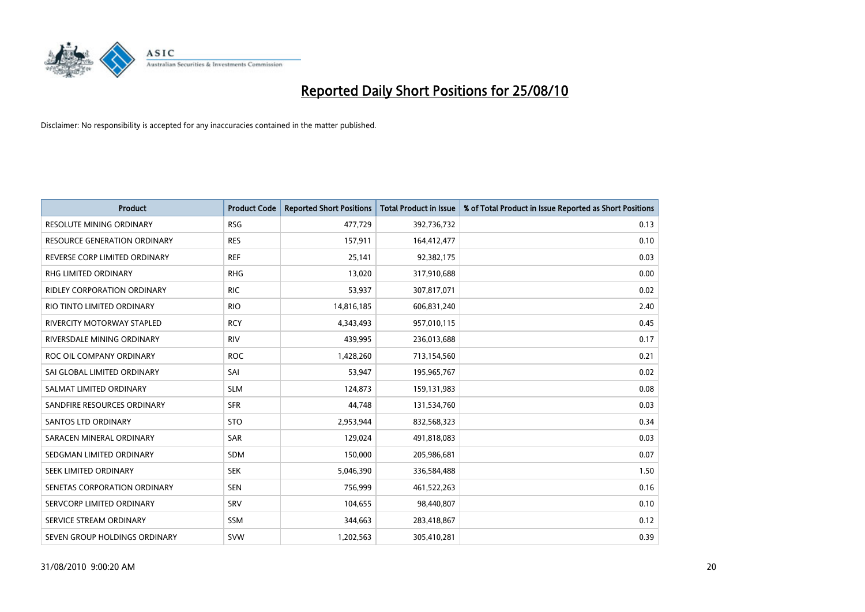

| Product                            | <b>Product Code</b> | <b>Reported Short Positions</b> | Total Product in Issue | % of Total Product in Issue Reported as Short Positions |
|------------------------------------|---------------------|---------------------------------|------------------------|---------------------------------------------------------|
| <b>RESOLUTE MINING ORDINARY</b>    | <b>RSG</b>          | 477,729                         | 392,736,732            | 0.13                                                    |
| RESOURCE GENERATION ORDINARY       | <b>RES</b>          | 157,911                         | 164,412,477            | 0.10                                                    |
| REVERSE CORP LIMITED ORDINARY      | <b>REF</b>          | 25,141                          | 92,382,175             | 0.03                                                    |
| RHG LIMITED ORDINARY               | <b>RHG</b>          | 13,020                          | 317,910,688            | 0.00                                                    |
| <b>RIDLEY CORPORATION ORDINARY</b> | <b>RIC</b>          | 53,937                          | 307,817,071            | 0.02                                                    |
| RIO TINTO LIMITED ORDINARY         | <b>RIO</b>          | 14,816,185                      | 606,831,240            | 2.40                                                    |
| RIVERCITY MOTORWAY STAPLED         | <b>RCY</b>          | 4,343,493                       | 957,010,115            | 0.45                                                    |
| RIVERSDALE MINING ORDINARY         | <b>RIV</b>          | 439,995                         | 236,013,688            | 0.17                                                    |
| ROC OIL COMPANY ORDINARY           | <b>ROC</b>          | 1,428,260                       | 713,154,560            | 0.21                                                    |
| SAI GLOBAL LIMITED ORDINARY        | SAI                 | 53,947                          | 195,965,767            | 0.02                                                    |
| SALMAT LIMITED ORDINARY            | <b>SLM</b>          | 124,873                         | 159,131,983            | 0.08                                                    |
| SANDFIRE RESOURCES ORDINARY        | <b>SFR</b>          | 44,748                          | 131,534,760            | 0.03                                                    |
| <b>SANTOS LTD ORDINARY</b>         | <b>STO</b>          | 2,953,944                       | 832,568,323            | 0.34                                                    |
| SARACEN MINERAL ORDINARY           | SAR                 | 129,024                         | 491,818,083            | 0.03                                                    |
| SEDGMAN LIMITED ORDINARY           | <b>SDM</b>          | 150,000                         | 205,986,681            | 0.07                                                    |
| SEEK LIMITED ORDINARY              | <b>SEK</b>          | 5,046,390                       | 336,584,488            | 1.50                                                    |
| SENETAS CORPORATION ORDINARY       | <b>SEN</b>          | 756,999                         | 461,522,263            | 0.16                                                    |
| SERVCORP LIMITED ORDINARY          | SRV                 | 104,655                         | 98,440,807             | 0.10                                                    |
| SERVICE STREAM ORDINARY            | <b>SSM</b>          | 344,663                         | 283,418,867            | 0.12                                                    |
| SEVEN GROUP HOLDINGS ORDINARY      | <b>SVW</b>          | 1,202,563                       | 305,410,281            | 0.39                                                    |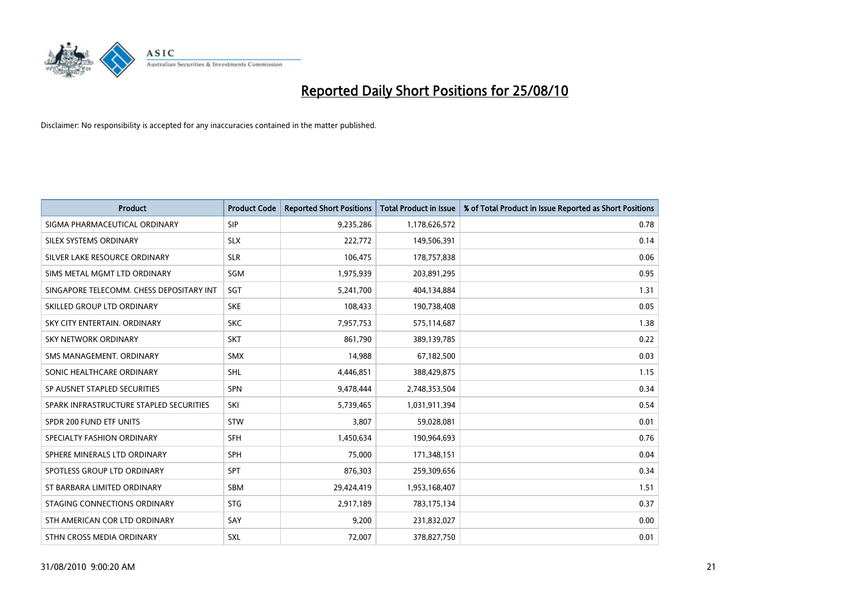

| <b>Product</b>                           | <b>Product Code</b> | <b>Reported Short Positions</b> | <b>Total Product in Issue</b> | % of Total Product in Issue Reported as Short Positions |
|------------------------------------------|---------------------|---------------------------------|-------------------------------|---------------------------------------------------------|
| SIGMA PHARMACEUTICAL ORDINARY            | SIP                 | 9,235,286                       | 1,178,626,572                 | 0.78                                                    |
| SILEX SYSTEMS ORDINARY                   | <b>SLX</b>          | 222,772                         | 149,506,391                   | 0.14                                                    |
| SILVER LAKE RESOURCE ORDINARY            | <b>SLR</b>          | 106,475                         | 178,757,838                   | 0.06                                                    |
| SIMS METAL MGMT LTD ORDINARY             | <b>SGM</b>          | 1,975,939                       | 203,891,295                   | 0.95                                                    |
| SINGAPORE TELECOMM. CHESS DEPOSITARY INT | SGT                 | 5,241,700                       | 404,134,884                   | 1.31                                                    |
| SKILLED GROUP LTD ORDINARY               | <b>SKE</b>          | 108,433                         | 190,738,408                   | 0.05                                                    |
| SKY CITY ENTERTAIN, ORDINARY             | <b>SKC</b>          | 7,957,753                       | 575,114,687                   | 1.38                                                    |
| SKY NETWORK ORDINARY                     | <b>SKT</b>          | 861,790                         | 389,139,785                   | 0.22                                                    |
| SMS MANAGEMENT, ORDINARY                 | <b>SMX</b>          | 14,988                          | 67,182,500                    | 0.03                                                    |
| SONIC HEALTHCARE ORDINARY                | <b>SHL</b>          | 4,446,851                       | 388,429,875                   | 1.15                                                    |
| SP AUSNET STAPLED SECURITIES             | SPN                 | 9,478,444                       | 2,748,353,504                 | 0.34                                                    |
| SPARK INFRASTRUCTURE STAPLED SECURITIES  | SKI                 | 5,739,465                       | 1,031,911,394                 | 0.54                                                    |
| SPDR 200 FUND ETF UNITS                  | <b>STW</b>          | 3,807                           | 59,028,081                    | 0.01                                                    |
| SPECIALTY FASHION ORDINARY               | SFH                 | 1,450,634                       | 190,964,693                   | 0.76                                                    |
| SPHERE MINERALS LTD ORDINARY             | <b>SPH</b>          | 75,000                          | 171,348,151                   | 0.04                                                    |
| SPOTLESS GROUP LTD ORDINARY              | SPT                 | 876,303                         | 259,309,656                   | 0.34                                                    |
| ST BARBARA LIMITED ORDINARY              | <b>SBM</b>          | 29,424,419                      | 1,953,168,407                 | 1.51                                                    |
| STAGING CONNECTIONS ORDINARY             | <b>STG</b>          | 2,917,189                       | 783,175,134                   | 0.37                                                    |
| STH AMERICAN COR LTD ORDINARY            | SAY                 | 9,200                           | 231,832,027                   | 0.00                                                    |
| STHN CROSS MEDIA ORDINARY                | SXL                 | 72,007                          | 378,827,750                   | 0.01                                                    |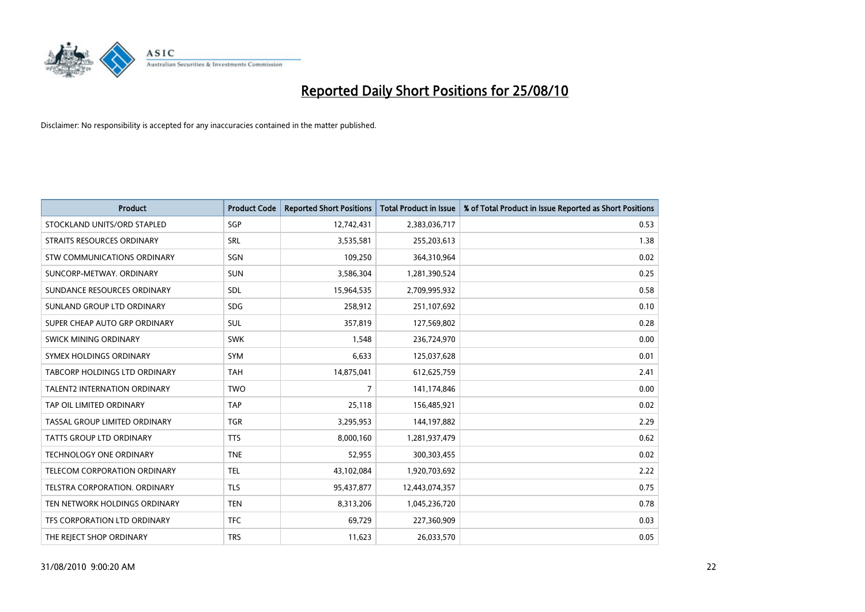

| <b>Product</b>                       | <b>Product Code</b> | <b>Reported Short Positions</b> | <b>Total Product in Issue</b> | % of Total Product in Issue Reported as Short Positions |
|--------------------------------------|---------------------|---------------------------------|-------------------------------|---------------------------------------------------------|
| STOCKLAND UNITS/ORD STAPLED          | SGP                 | 12,742,431                      | 2,383,036,717                 | 0.53                                                    |
| STRAITS RESOURCES ORDINARY           | SRL                 | 3,535,581                       | 255,203,613                   | 1.38                                                    |
| STW COMMUNICATIONS ORDINARY          | SGN                 | 109,250                         | 364,310,964                   | 0.02                                                    |
| SUNCORP-METWAY, ORDINARY             | <b>SUN</b>          | 3,586,304                       | 1,281,390,524                 | 0.25                                                    |
| SUNDANCE RESOURCES ORDINARY          | <b>SDL</b>          | 15,964,535                      | 2,709,995,932                 | 0.58                                                    |
| SUNLAND GROUP LTD ORDINARY           | <b>SDG</b>          | 258,912                         | 251,107,692                   | 0.10                                                    |
| SUPER CHEAP AUTO GRP ORDINARY        | <b>SUL</b>          | 357,819                         | 127,569,802                   | 0.28                                                    |
| SWICK MINING ORDINARY                | <b>SWK</b>          | 1,548                           | 236,724,970                   | 0.00                                                    |
| SYMEX HOLDINGS ORDINARY              | <b>SYM</b>          | 6,633                           | 125,037,628                   | 0.01                                                    |
| <b>TABCORP HOLDINGS LTD ORDINARY</b> | <b>TAH</b>          | 14,875,041                      | 612,625,759                   | 2.41                                                    |
| TALENT2 INTERNATION ORDINARY         | <b>TWO</b>          | 7                               | 141,174,846                   | 0.00                                                    |
| TAP OIL LIMITED ORDINARY             | <b>TAP</b>          | 25,118                          | 156,485,921                   | 0.02                                                    |
| TASSAL GROUP LIMITED ORDINARY        | <b>TGR</b>          | 3,295,953                       | 144,197,882                   | 2.29                                                    |
| TATTS GROUP LTD ORDINARY             | <b>TTS</b>          | 8,000,160                       | 1,281,937,479                 | 0.62                                                    |
| <b>TECHNOLOGY ONE ORDINARY</b>       | <b>TNE</b>          | 52,955                          | 300,303,455                   | 0.02                                                    |
| TELECOM CORPORATION ORDINARY         | <b>TEL</b>          | 43,102,084                      | 1,920,703,692                 | 2.22                                                    |
| TELSTRA CORPORATION. ORDINARY        | <b>TLS</b>          | 95,437,877                      | 12,443,074,357                | 0.75                                                    |
| TEN NETWORK HOLDINGS ORDINARY        | <b>TEN</b>          | 8,313,206                       | 1,045,236,720                 | 0.78                                                    |
| TFS CORPORATION LTD ORDINARY         | <b>TFC</b>          | 69,729                          | 227,360,909                   | 0.03                                                    |
| THE REJECT SHOP ORDINARY             | <b>TRS</b>          | 11,623                          | 26,033,570                    | 0.05                                                    |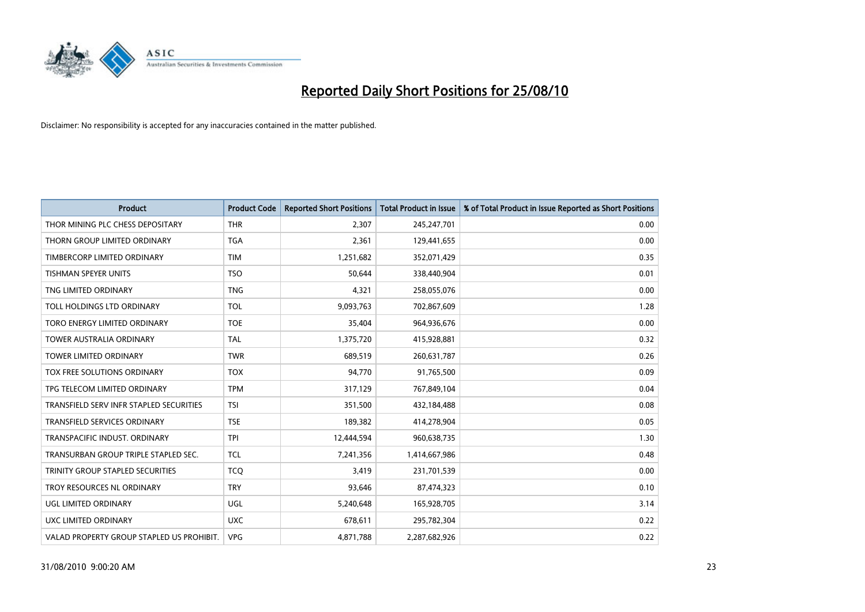

| <b>Product</b>                            | <b>Product Code</b> | <b>Reported Short Positions</b> | <b>Total Product in Issue</b> | % of Total Product in Issue Reported as Short Positions |
|-------------------------------------------|---------------------|---------------------------------|-------------------------------|---------------------------------------------------------|
| THOR MINING PLC CHESS DEPOSITARY          | <b>THR</b>          | 2,307                           | 245,247,701                   | 0.00                                                    |
| THORN GROUP LIMITED ORDINARY              | <b>TGA</b>          | 2,361                           | 129,441,655                   | 0.00                                                    |
| TIMBERCORP LIMITED ORDINARY               | <b>TIM</b>          | 1,251,682                       | 352,071,429                   | 0.35                                                    |
| TISHMAN SPEYER UNITS                      | <b>TSO</b>          | 50,644                          | 338,440,904                   | 0.01                                                    |
| TNG LIMITED ORDINARY                      | <b>TNG</b>          | 4,321                           | 258,055,076                   | 0.00                                                    |
| TOLL HOLDINGS LTD ORDINARY                | <b>TOL</b>          | 9,093,763                       | 702,867,609                   | 1.28                                                    |
| TORO ENERGY LIMITED ORDINARY              | <b>TOE</b>          | 35,404                          | 964,936,676                   | 0.00                                                    |
| <b>TOWER AUSTRALIA ORDINARY</b>           | <b>TAL</b>          | 1,375,720                       | 415,928,881                   | 0.32                                                    |
| TOWER LIMITED ORDINARY                    | <b>TWR</b>          | 689,519                         | 260,631,787                   | 0.26                                                    |
| TOX FREE SOLUTIONS ORDINARY               | <b>TOX</b>          | 94,770                          | 91,765,500                    | 0.09                                                    |
| TPG TELECOM LIMITED ORDINARY              | <b>TPM</b>          | 317,129                         | 767,849,104                   | 0.04                                                    |
| TRANSFIELD SERV INFR STAPLED SECURITIES   | <b>TSI</b>          | 351,500                         | 432,184,488                   | 0.08                                                    |
| TRANSFIELD SERVICES ORDINARY              | <b>TSE</b>          | 189,382                         | 414,278,904                   | 0.05                                                    |
| TRANSPACIFIC INDUST, ORDINARY             | <b>TPI</b>          | 12,444,594                      | 960,638,735                   | 1.30                                                    |
| TRANSURBAN GROUP TRIPLE STAPLED SEC.      | <b>TCL</b>          | 7,241,356                       | 1,414,667,986                 | 0.48                                                    |
| TRINITY GROUP STAPLED SECURITIES          | <b>TCO</b>          | 3,419                           | 231,701,539                   | 0.00                                                    |
| TROY RESOURCES NL ORDINARY                | <b>TRY</b>          | 93,646                          | 87,474,323                    | 0.10                                                    |
| UGL LIMITED ORDINARY                      | UGL                 | 5,240,648                       | 165,928,705                   | 3.14                                                    |
| UXC LIMITED ORDINARY                      | <b>UXC</b>          | 678,611                         | 295,782,304                   | 0.22                                                    |
| VALAD PROPERTY GROUP STAPLED US PROHIBIT. | <b>VPG</b>          | 4,871,788                       | 2,287,682,926                 | 0.22                                                    |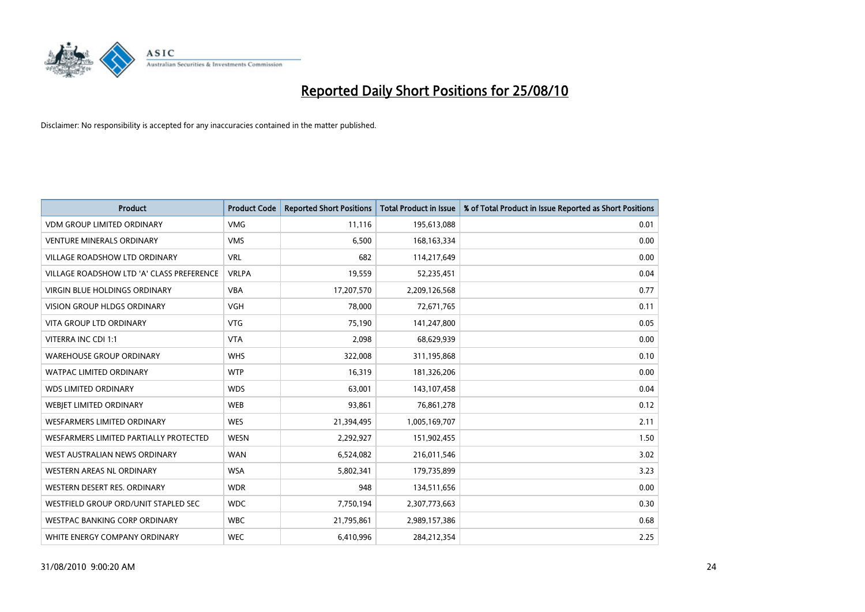

| <b>Product</b>                            | <b>Product Code</b> | <b>Reported Short Positions</b> | <b>Total Product in Issue</b> | % of Total Product in Issue Reported as Short Positions |
|-------------------------------------------|---------------------|---------------------------------|-------------------------------|---------------------------------------------------------|
| <b>VDM GROUP LIMITED ORDINARY</b>         | <b>VMG</b>          | 11,116                          | 195,613,088                   | 0.01                                                    |
| <b>VENTURE MINERALS ORDINARY</b>          | <b>VMS</b>          | 6,500                           | 168, 163, 334                 | 0.00                                                    |
| <b>VILLAGE ROADSHOW LTD ORDINARY</b>      | <b>VRL</b>          | 682                             | 114,217,649                   | 0.00                                                    |
| VILLAGE ROADSHOW LTD 'A' CLASS PREFERENCE | <b>VRLPA</b>        | 19,559                          | 52,235,451                    | 0.04                                                    |
| <b>VIRGIN BLUE HOLDINGS ORDINARY</b>      | <b>VBA</b>          | 17,207,570                      | 2,209,126,568                 | 0.77                                                    |
| <b>VISION GROUP HLDGS ORDINARY</b>        | <b>VGH</b>          | 78,000                          | 72,671,765                    | 0.11                                                    |
| <b>VITA GROUP LTD ORDINARY</b>            | <b>VTG</b>          | 75.190                          | 141,247,800                   | 0.05                                                    |
| VITERRA INC CDI 1:1                       | <b>VTA</b>          | 2,098                           | 68,629,939                    | 0.00                                                    |
| <b>WAREHOUSE GROUP ORDINARY</b>           | <b>WHS</b>          | 322,008                         | 311,195,868                   | 0.10                                                    |
| <b>WATPAC LIMITED ORDINARY</b>            | <b>WTP</b>          | 16,319                          | 181,326,206                   | 0.00                                                    |
| <b>WDS LIMITED ORDINARY</b>               | <b>WDS</b>          | 63,001                          | 143,107,458                   | 0.04                                                    |
| WEBJET LIMITED ORDINARY                   | <b>WEB</b>          | 93,861                          | 76,861,278                    | 0.12                                                    |
| <b>WESFARMERS LIMITED ORDINARY</b>        | <b>WES</b>          | 21,394,495                      | 1,005,169,707                 | 2.11                                                    |
| WESFARMERS LIMITED PARTIALLY PROTECTED    | <b>WESN</b>         | 2,292,927                       | 151,902,455                   | 1.50                                                    |
| WEST AUSTRALIAN NEWS ORDINARY             | <b>WAN</b>          | 6,524,082                       | 216,011,546                   | 3.02                                                    |
| WESTERN AREAS NL ORDINARY                 | <b>WSA</b>          | 5,802,341                       | 179,735,899                   | 3.23                                                    |
| WESTERN DESERT RES. ORDINARY              | <b>WDR</b>          | 948                             | 134,511,656                   | 0.00                                                    |
| WESTFIELD GROUP ORD/UNIT STAPLED SEC      | <b>WDC</b>          | 7,750,194                       | 2,307,773,663                 | 0.30                                                    |
| <b>WESTPAC BANKING CORP ORDINARY</b>      | <b>WBC</b>          | 21,795,861                      | 2,989,157,386                 | 0.68                                                    |
| WHITE ENERGY COMPANY ORDINARY             | <b>WEC</b>          | 6,410,996                       | 284,212,354                   | 2.25                                                    |